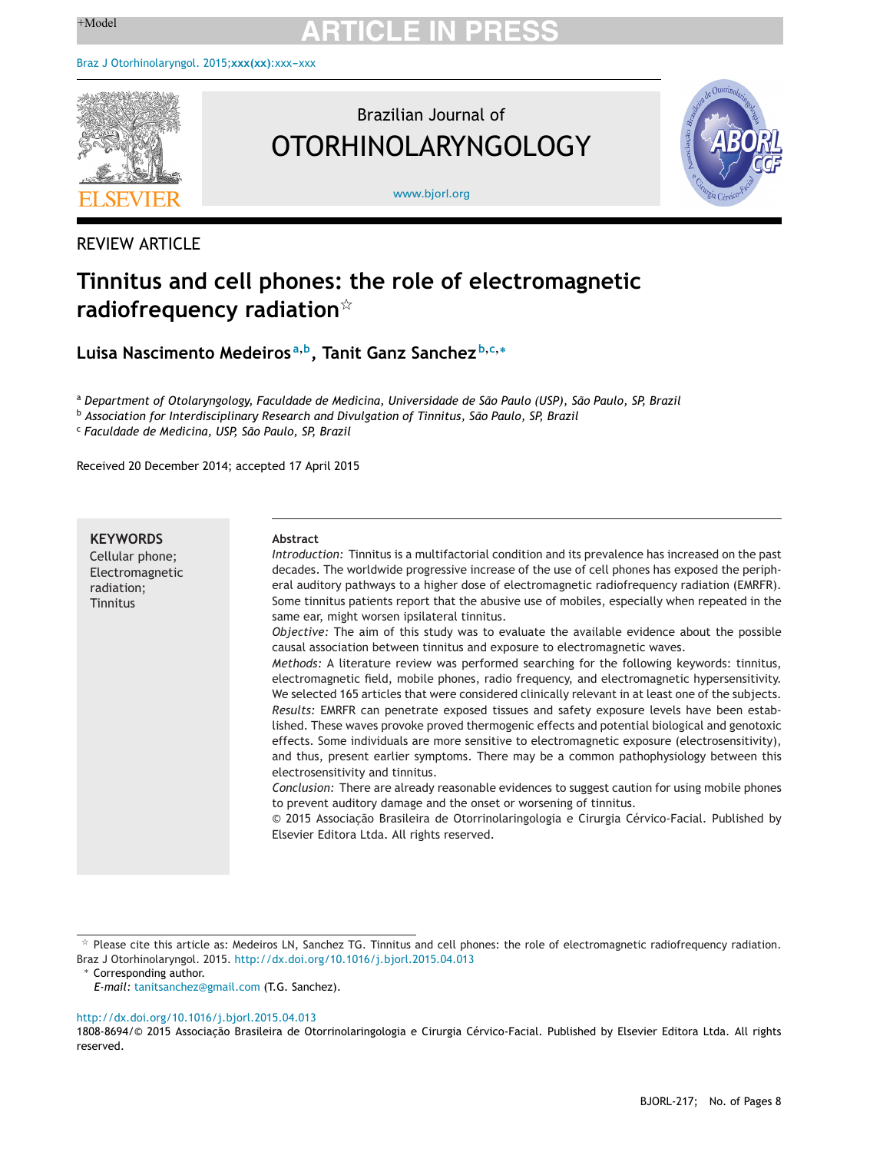# **ARTICLE IN PRESS**



REVIEW ARTICLE

## Brazilian Journal of OTORHINOLARYNGOLOGY



[www.bjorl.org](http://www.bjorl.org)

# **Tinnitus and cell phones: the role of electromagnetic radiofrequency radiation**-

**Luisa Nascimento Medeiros <sup>a</sup>,b, Tanit Ganz Sanchez <sup>b</sup>,c,<sup>∗</sup>**

<sup>a</sup> *Department of Otolaryngology, Faculdade de Medicina, Universidade de São Paulo (USP), São Paulo, SP, Brazil*

<sup>b</sup> *Association for Interdisciplinary Research and Divulgation of Tinnitus, São Paulo, SP, Brazil*

<sup>c</sup> *Faculdade de Medicina, USP, São Paulo, SP, Brazil*

Received 20 December 2014; accepted 17 April 2015

**KEYWORDS** Cellular phone; Electromagnetic radiation;

Tinnitus

#### **Abstract**

*Introduction:* Tinnitus is a multifactorial condition and its prevalence has increased on the past decades. The worldwide progressive increase of the use of cell phones has exposed the peripheral auditory pathways to a higher dose of electromagnetic radiofrequency radiation (EMRFR). Some tinnitus patients report that the abusive use of mobiles, especially when repeated in the same ear, might worsen ipsilateral tinnitus.

*Objective:* The aim of this study was to evaluate the available evidence about the possible causal association between tinnitus and exposure to electromagnetic waves.

*Methods:* A literature review was performed searching for the following keywords: tinnitus, electromagnetic field, mobile phones, radio frequency, and electromagnetic hypersensitivity. We selected 165 articles that were considered clinically relevant in at least one of the subjects. *Results:* EMRFR can penetrate exposed tissues and safety exposure levels have been established. These waves provoke proved thermogenic effects and potential biological and genotoxic effects. Some individuals are more sensitive to electromagnetic exposure (electrosensitivity), and thus, present earlier symptoms. There may be a common pathophysiology between this electrosensitivity and tinnitus.

*Conclusion:* There are already reasonable evidences to suggest caution for using mobile phones to prevent auditory damage and the onset or worsening of tinnitus.

© 2015 Associação Brasileira de Otorrinolaringologia e Cirurgia Cérvico-Facial. Published by Elsevier Editora Ltda. All rights reserved.

#### [http://dx.doi.org/10.1016/j.bjorl.2015.04.013](dx.doi.org/10.1016/j.bjorl.2015.04.013)

1808-8694/© 2015 Associacão Brasileira de Otorrinolaringologia e Cirurgia Cérvico-Facial. Published by Elsevier Editora Ltda. All rights reserved.

 $*$  Please cite this article as: Medeiros LN, Sanchez TG. Tinnitus and cell phones: the role of electromagnetic radiofrequency radiation. Braz J Otorhinolaryngol. 2015. <http://dx.doi.org/10.1016/j.bjorl.2015.04.013>

Corresponding author.

*E-mail:* [tanitsanchez@gmail.com](mailto:tanitsanchez@gmail.com) (T.G. Sanchez).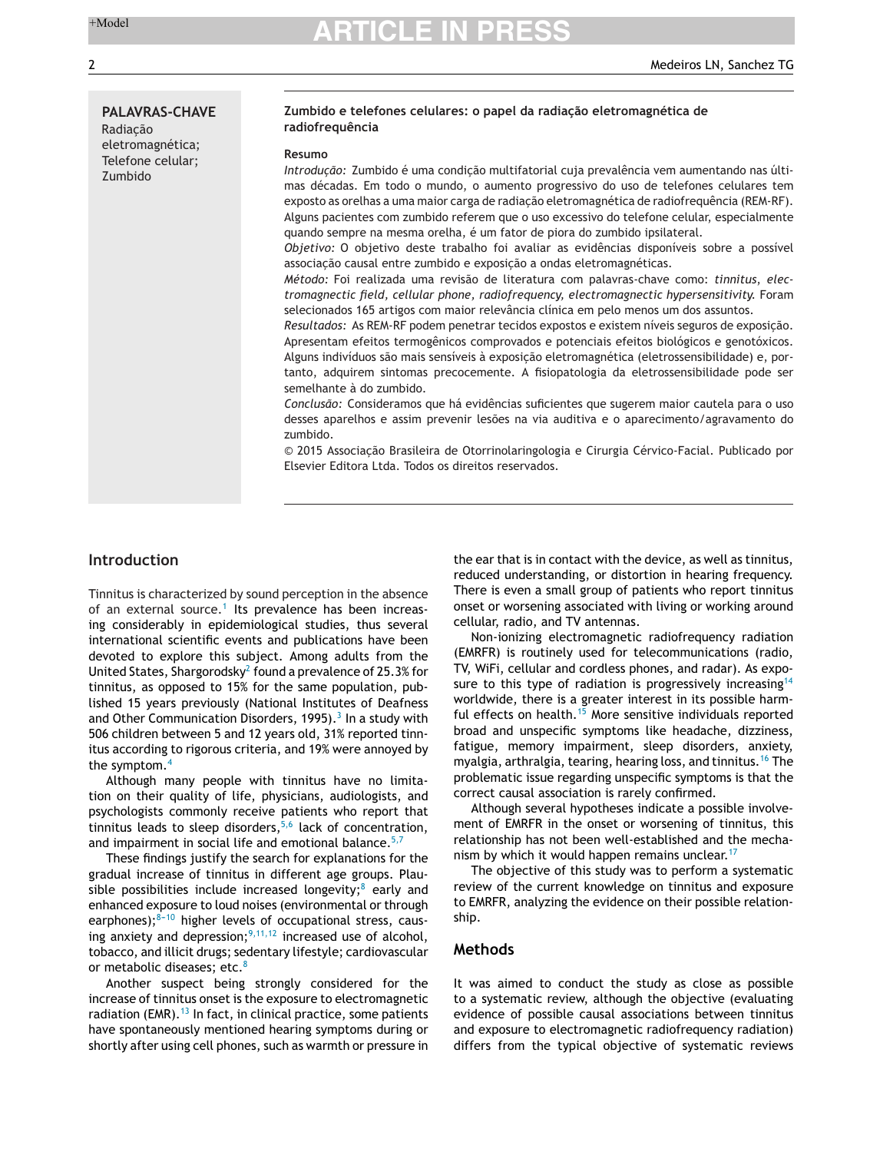## **PALAVRAS-CHAVE**

Radiação eletromagnética; Telefone celular; Zumbido

#### **Zumbido e telefones celulares: o papel da radiac¸ão eletromagnética de radiofrequência**

#### **Resumo**

*Introdução: Zumbido é uma condição multifatorial cuja prevalência vem aumentando nas últi*mas décadas. Em todo o mundo, o aumento progressivo do uso de telefones celulares tem exposto as orelhas a uma maior carga de radiação eletromagnética de radiofrequência (REM-RF). Alguns pacientes com zumbido referem que o uso excessivo do telefone celular, especialmente quando sempre na mesma orelha, é um fator de piora do zumbido ipsilateral.

*Objetivo:* O objetivo deste trabalho foi avaliar as evidências disponíveis sobre a possível associacão causal entre zumbido e exposicão a ondas eletromagnéticas.

*Método:* Foi realizada uma revisão de literatura com palavras-chave como: *tinnitus*, *electromagnectic field, cellular phone, radiofrequency, electromagnectic hypersensitivity.* Foram selecionados 165 artigos com maior relevância clínica em pelo menos um dos assuntos.

Resultados: As REM-RF podem penetrar tecidos expostos e existem níveis seguros de exposição. Apresentam efeitos termogênicos comprovados e potenciais efeitos biológicos e genotóxicos. Alguns indivíduos são mais sensíveis à exposição eletromagnética (eletrossensibilidade) e, portanto, adquirem sintomas precocemente. A fisiopatologia da eletrossensibilidade pode ser semelhante à do zumbido.

*Conclusão:* Consideramos que há evidências suficientes que sugerem maior cautela para o uso desses aparelhos e assim prevenir lesões na via auditiva e o aparecimento/agravamento do zumbido.

© 2015 Associac¸ão Brasileira de Otorrinolaringologia e Cirurgia Cérvico-Facial. Publicado por Elsevier Editora Ltda. Todos os direitos reservados.

### **Introduction**

Tinnitus is characterized by sound perception in the absence of an external source.<sup>[1](#page-6-0)</sup> Its prevalence has been increasing considerably in epidemiological studies, thus several international scientific events and publications have been devoted to explore this subject. Among adults from the United States, Shargorodsky<sup>2</sup> [f](#page-6-0)ound a prevalence of 25.3% for tinnitus, as opposed to 15% for the same population, published 15 years previously (National Institutes of Deafness and Other Communication Disorders,  $1995$ ).<sup>3</sup> [I](#page-6-0)n a study with 506 children between 5 and 12 years old, 31% reported tinnitus according to rigorous criteria, and 19% were annoyed by the symptom.[4](#page-6-0)

Although many people with tinnitus have no limitation on their quality of life, physicians, audiologists, and psychologists commonly receive patients who report that tinnitus leads to sleep disorders, $5,6$  lack of concentration, and impairment in social life and emotional balance.<sup>[5,7](#page-6-0)</sup>

These findings justify the search for explanations for the gradual increase of tinnitus in different age groups. Plausible possibilities include increased longevity; $8$  early and enhanced exposure to loud noises (environmental or through earphones); $8-10$  higher levels of occupational stress, causing anxiety and depression;  $9,11,12$  increased use of alcohol, tobacco, and illicit drugs; sedentary lifestyle; cardiovascular or metabolic diseases; etc.<sup>[8](#page-6-0)</sup>

Another suspect being strongly considered for the increase of tinnitus onset is the exposure to electromagnetic radiation (EMR).<sup>[13](#page-6-0)</sup> In fact, in clinical practice, some patients have spontaneously mentioned hearing symptoms during or shortly after using cell phones, such as warmth or pressure in

the ear that is in contact with the device, as well as tinnitus, reduced understanding, or distortion in hearing frequency. There is even a small group of patients who report tinnitus onset or worsening associated with living or working around cellular, radio, and TV antennas.

Non-ionizing electromagnetic radiofrequency radiation (EMRFR) is routinely used for telecommunications (radio, TV, WiFi, cellular and cordless phones, and radar). As expo-sure to this type of radiation is progressively increasing<sup>[14](#page-6-0)</sup> worldwide, there is a greater interest in its possible harm-ful effects on health.<sup>[15](#page-6-0)</sup> More sensitive individuals reported broad and unspecific symptoms like headache, dizziness, fatigue, memory impairment, sleep disorders, anxiety, myalgia, arthralgia, tearing, hearing loss, and tinnitus.<sup>[16](#page-6-0)</sup> The problematic issue regarding unspecific symptoms is that the correct causal association is rarely confirmed.

Although several hypotheses indicate a possible involvement of EMRFR in the onset or worsening of tinnitus, this relationship has not been well-established and the mechanism by which it would happen remains unclear. $17$ 

The objective of this study was to perform a systematic review of the current knowledge on tinnitus and exposure to EMRFR, analyzing the evidence on their possible relationship.

### **Methods**

It was aimed to conduct the study as close as possible to a systematic review, although the objective (evaluating evidence of possible causal associations between tinnitus and exposure to electromagnetic radiofrequency radiation) differs from the typical objective of systematic reviews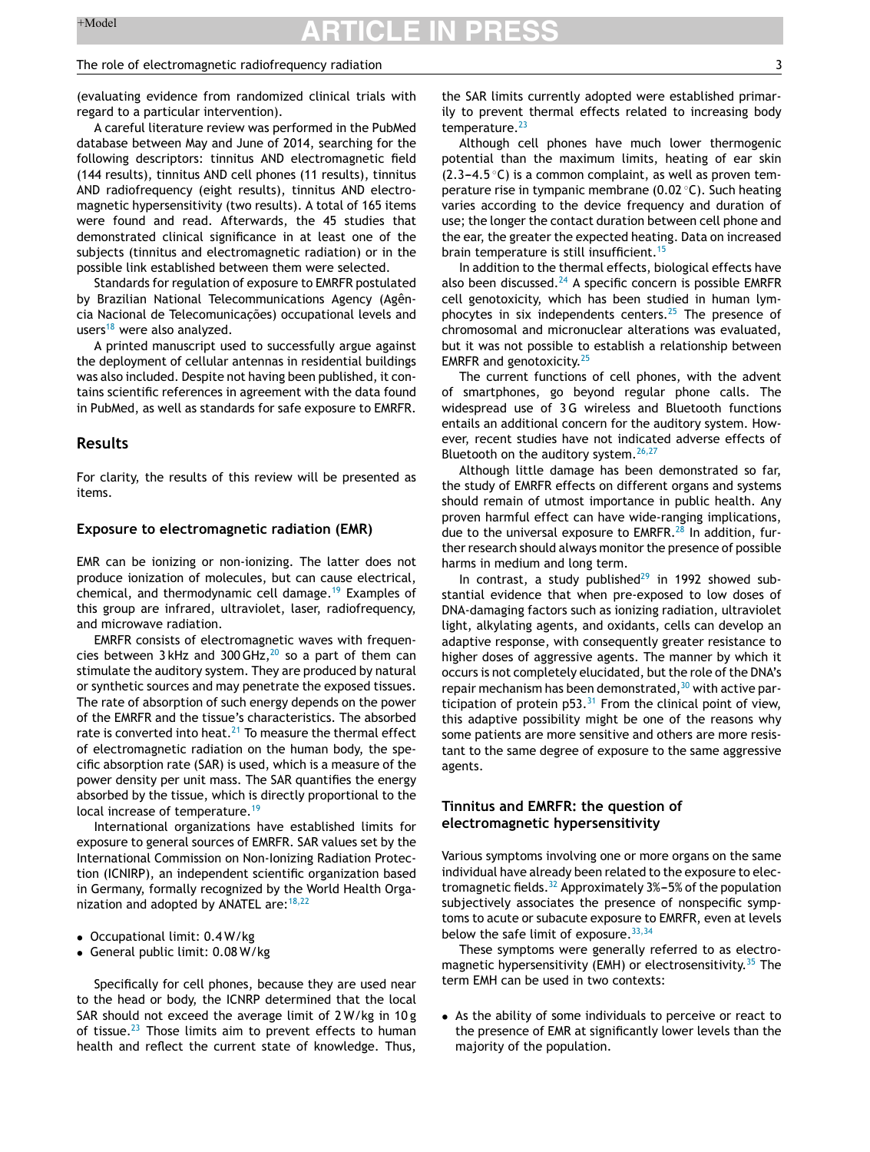#### The role of electromagnetic radiofrequency radiation 3

(evaluating evidence from randomized clinical trials with regard to a particular intervention).

A careful literature review was performed in the PubMed database between May and June of 2014, searching for the following descriptors: tinnitus AND electromagnetic field (144 results), tinnitus AND cell phones (11 results), tinnitus AND radiofrequency (eight results), tinnitus AND electromagnetic hypersensitivity (two results). A total of 165 items were found and read. Afterwards, the 45 studies that demonstrated clinical significance in at least one of the subjects (tinnitus and electromagnetic radiation) or in the possible link established between them were selected.

Standards for regulation of exposure to EMRFR postulated by Brazilian National Telecommunications Agency (Agência Nacional de Telecomunicações) occupational levels and users<sup>[18](#page-6-0)</sup> were also analyzed.

A printed manuscript used to successfully argue against the deployment of cellular antennas in residential buildings was also included. Despite not having been published, it contains scientific references in agreement with the data found in PubMed, as well as standards for safe exposure to EMRFR.

### **Results**

For clarity, the results of this review will be presented as items.

#### **Exposure to electromagnetic radiation (EMR)**

EMR can be ionizing or non-ionizing. The latter does not produce ionization of molecules, but can cause electrical, chemical, and thermodynamic cell damage.[19](#page-6-0) Examples of this group are infrared, ultraviolet, laser, radiofrequency, and microwave radiation.

EMRFR consists of electromagnetic waves with frequencies between  $3$  kHz and  $300$  GHz,  $20$  so a part of them can stimulate the auditory system. They are produced by natural or synthetic sources and may penetrate the exposed tissues. The rate of absorption of such energy depends on the power of the EMRFR and the tissue's characteristics. The absorbed rate is converted into heat. $^{21}$  $^{21}$  $^{21}$  To measure the thermal effect of electromagnetic radiation on the human body, the specific absorption rate (SAR) is used, which is a measure of the power density per unit mass. The SAR quantifies the energy absorbed by the tissue, which is directly proportional to the local increase of temperature.<sup>[19](#page-6-0)</sup>

International organizations have established limits for exposure to general sources of EMRFR. SAR values set by the International Commission on Non-Ionizing Radiation Protection (ICNIRP), an independent scientific organization based in Germany, formally recognized by the World Health Orga-nization and adopted by ANATEL are: [18,22](#page-6-0)

- Occupational limit: 0.4 W/kg
- General public limit: 0.08 W/kg

Specifically for cell phones, because they are used near to the head or body, the ICNRP determined that the local SAR should not exceed the average limit of 2 W/kg in 10 g of tissue.<sup>[23](#page-6-0)</sup> Those limits aim to prevent effects to human health and reflect the current state of knowledge. Thus,

the SAR limits currently adopted were established primarily to prevent thermal effects related to increasing body temperature. $^{23}$  $^{23}$  $^{23}$ 

Although cell phones have much lower thermogenic potential than the maximum limits, heating of ear skin  $(2.3-4.5 \degree C)$  is a common complaint, as well as proven temperature rise in tympanic membrane (0.02 ◦C). Such heating varies according to the device frequency and duration of use; the longer the contact duration between cell phone and the ear, the greater the expected heating. Data on increased brain temperature is still insufficient.<sup>[15](#page-6-0)</sup>

In addition to the thermal effects, biological effects have also been discussed. $^{24}$  $^{24}$  $^{24}$  A specific concern is possible EMRFR cell genotoxicity, which has been studied in human lym-phocytes in six independents centers.<sup>[25](#page-6-0)</sup> The presence of chromosomal and micronuclear alterations was evaluated, but it was not possible to establish a relationship between EMRFR and genotoxicity. $25$ 

The current functions of cell phones, with the advent of smartphones, go beyond regular phone calls. The widespread use of 3G wireless and Bluetooth functions entails an additional concern for the auditory system. However, recent studies have not indicated adverse effects of Bluetooth on the auditory system. $26,27$ 

Although little damage has been demonstrated so far, the study of EMRFR effects on different organs and systems should remain of utmost importance in public health. Any proven harmful effect can have wide-ranging implications, due to the universal exposure to EMRFR.<sup>[28](#page-7-0)</sup> In addition, further research should always monitor the presence of possible harms in medium and long term.

In contrast, a study published<sup>[29](#page-7-0)</sup> in 1992 showed substantial evidence that when pre-exposed to low doses of DNA-damaging factors such as ionizing radiation, ultraviolet light, alkylating agents, and oxidants, cells can develop an adaptive response, with consequently greater resistance to higher doses of aggressive agents. The manner by which it occurs is not completely elucidated, but the role of the DNA's repair mechanism has been demonstrated,  $30$  with active participation of protein  $p53.^{31}$  $p53.^{31}$  $p53.^{31}$  From the clinical point of view, this adaptive possibility might be one of the reasons why some patients are more sensitive and others are more resistant to the same degree of exposure to the same aggressive agents.

### **Tinnitus and EMRFR: the question of electromagnetic hypersensitivity**

Various symptoms involving one or more organs on the same individual have already been related to the exposure to elec-tromagnetic fields.<sup>[32](#page-7-0)</sup> Approximately  $3\% - 5\%$  of the population subjectively associates the presence of nonspecific symptoms to acute or subacute exposure to EMRFR, even at levels below the safe limit of exposure.  $33,34$ 

These symptoms were generally referred to as electro-magnetic hypersensitivity (EMH) or electrosensitivity.<sup>[35](#page-7-0)</sup> The term EMH can be used in two contexts:

• As the ability of some individuals to perceive or react to the presence of EMR at significantly lower levels than the majority of the population.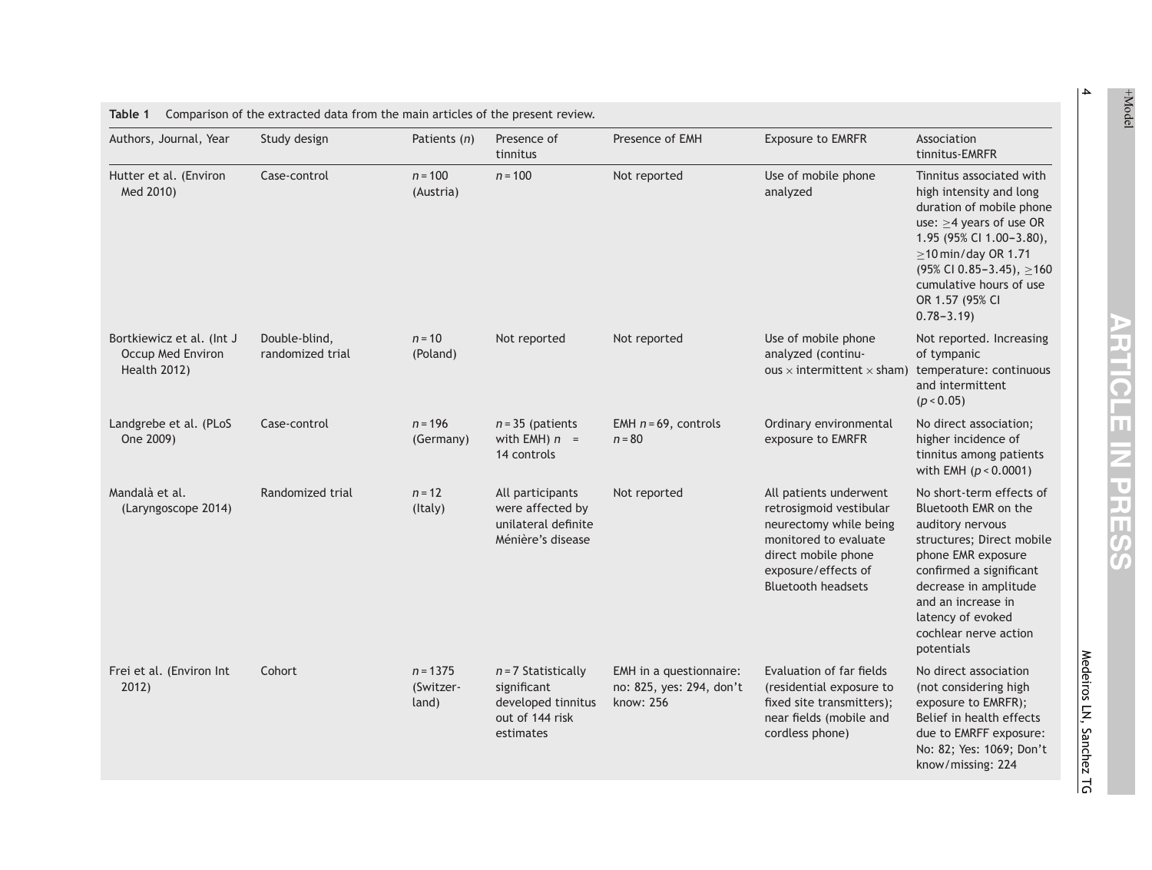<span id="page-3-0"></span>

| Authors, Journal, Year                                                | Study design                      | Patients (n)                     | Presence of<br>tinnitus                                                                    | Presence of EMH                                                  | <b>Exposure to EMRFR</b>                                                                                                                                                        | Association<br>tinnitus-EMRFR                                                                                                                                                                                                                                                          |
|-----------------------------------------------------------------------|-----------------------------------|----------------------------------|--------------------------------------------------------------------------------------------|------------------------------------------------------------------|---------------------------------------------------------------------------------------------------------------------------------------------------------------------------------|----------------------------------------------------------------------------------------------------------------------------------------------------------------------------------------------------------------------------------------------------------------------------------------|
| Hutter et al. (Environ<br>Med 2010)                                   | Case-control                      | $n = 100$<br>(Austria)           | $n = 100$                                                                                  | Not reported                                                     | Use of mobile phone<br>analyzed                                                                                                                                                 | Tinnitus associated with<br>high intensity and long<br>duration of mobile phone<br>use: $\geq$ 4 years of use OR<br>1.95 (95% CI 1.00-3.80),<br>$\geq$ 10 min/day OR 1.71<br>$(95\% \text{ CI } 0.85 - 3.45), \geq 160$<br>cumulative hours of use<br>OR 1.57 (95% CI<br>$0.78 - 3.19$ |
| Bortkiewicz et al. (Int J<br>Occup Med Environ<br><b>Health 2012)</b> | Double-blind,<br>randomized trial | $n = 10$<br>(Poland)             | Not reported                                                                               | Not reported                                                     | Use of mobile phone<br>analyzed (continu-<br>ous $\times$ intermittent $\times$ sham)                                                                                           | Not reported. Increasing<br>of tympanic<br>temperature: continuous<br>and intermittent<br>(p < 0.05)                                                                                                                                                                                   |
| Landgrebe et al. (PLoS<br>One 2009)                                   | Case-control                      | $n = 196$<br>(Germany)           | $n = 35$ (patients<br>with EMH) $n =$<br>14 controls                                       | EMH $n = 69$ , controls<br>$n = 80$                              | Ordinary environmental<br>exposure to EMRFR                                                                                                                                     | No direct association;<br>higher incidence of<br>tinnitus among patients<br>with EMH $(p < 0.0001)$                                                                                                                                                                                    |
| Mandalà et al.<br>(Laryngoscope 2014)                                 | Randomized trial                  | $n = 12$<br>(Italy)              | All participants<br>were affected by<br>unilateral definite<br>Ménière's disease           | Not reported                                                     | All patients underwent<br>retrosigmoid vestibular<br>neurectomy while being<br>monitored to evaluate<br>direct mobile phone<br>exposure/effects of<br><b>Bluetooth headsets</b> | No short-term effects of<br>Bluetooth EMR on the<br>auditory nervous<br>structures; Direct mobile<br>phone EMR exposure<br>confirmed a significant<br>decrease in amplitude<br>and an increase in<br>latency of evoked<br>cochlear nerve action<br>potentials                          |
| Frei et al. (Environ Int<br>2012)                                     | Cohort                            | $n = 1375$<br>(Switzer-<br>(land | $n = 7$ Statistically<br>significant<br>developed tinnitus<br>out of 144 risk<br>estimates | EMH in a questionnaire:<br>no: 825, yes: 294, don't<br>know: 256 | Evaluation of far fields<br>(residential exposure to<br>fixed site transmitters);<br>near fields (mobile and<br>cordless phone)                                                 | No direct association<br>(not considering high<br>exposure to EMRFR);<br>Belief in health effects<br>due to EMRFF exposure:<br>No: 82; Yes: 1069; Don't<br>know/missing: 224                                                                                                           |

#### **Table 1** Comparison of the extracted data from the main articles of the present review.

 $\Delta$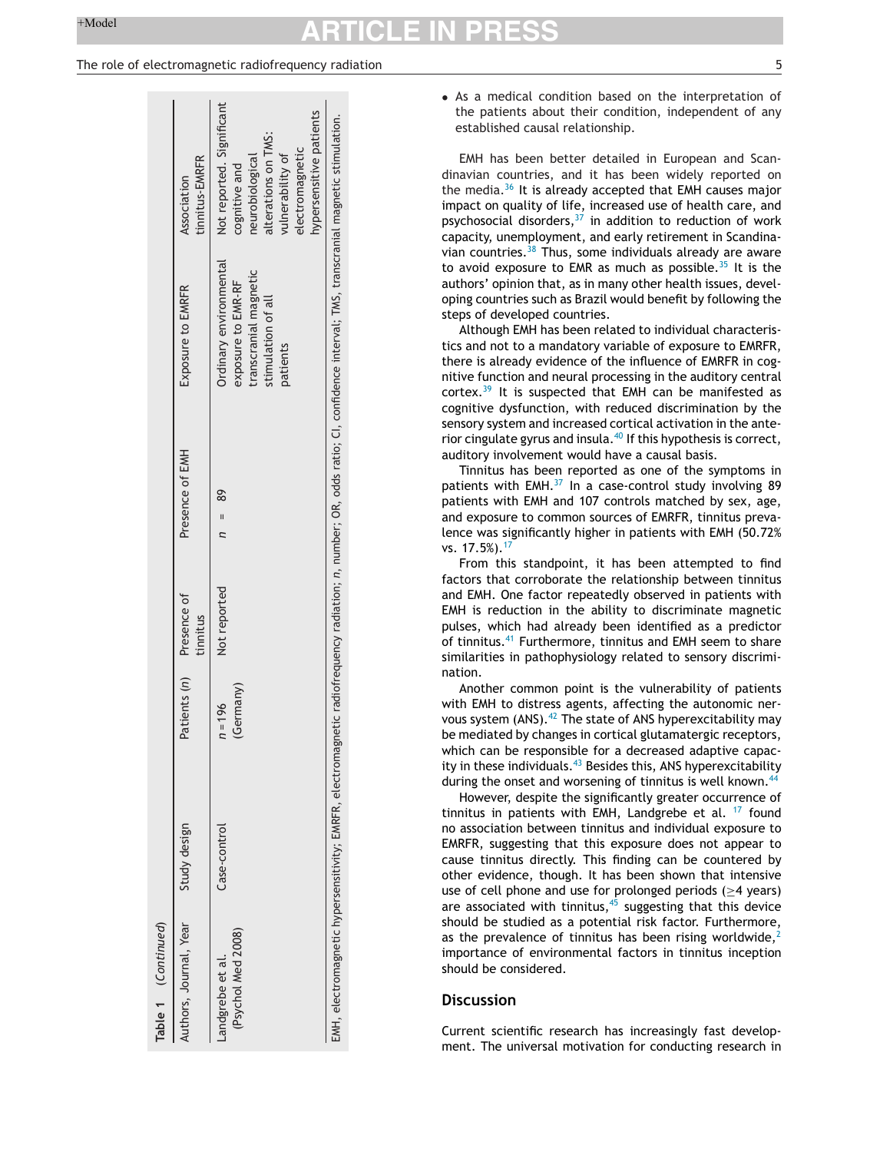#### The role of electromagnetic radiofrequency radiation

| Table 1 (Continued)                   |                                                                                                                                                                                     |                         |              |                 |                                                                                                         |                                                                                                                                                        |
|---------------------------------------|-------------------------------------------------------------------------------------------------------------------------------------------------------------------------------------|-------------------------|--------------|-----------------|---------------------------------------------------------------------------------------------------------|--------------------------------------------------------------------------------------------------------------------------------------------------------|
| Authors, Journal, Year                | Study design                                                                                                                                                                        | atients (n) Presence of | tinnitus     | Presence of EMH | Exposure to EMRFR                                                                                       | tinnitus-EMRFR<br>Association                                                                                                                          |
| (Psychol Med 2008)<br>andgrebe et al. | Case-control                                                                                                                                                                        | (Germany)<br>$-196$     | Not reported | $n = 89$        | Ordinary environmental<br>transcranial magnetic<br>exposure to EMR-RF<br>stimulation of all<br>patients | Not reported. Significant<br>hypersensitive patients<br>alterations on TMS:<br>electromagnetic<br>vulnerability of<br>neurobiological<br>cognitive and |
|                                       | EMH, electromagnetic hypersensitivity; EMRFR, electromagnetic radiofrequency radiation; n, number; OR, odds ratio; CI, confidence interval; TMS, transcranial magnetic stimulation. |                         |              |                 |                                                                                                         |                                                                                                                                                        |

• As a medical condition based on the interpretation of the patients about their condition, independent of any established causal relationship.

EMH has been better detailed in European and Scandinavian countries, and it has been widely reported on the media. $36$  It is already accepted that EMH causes major impact on quality of life, increased use of health care, and psychosocial disorders,  $37$  in addition to reduction of work capacity, unemployment, and early retirement in Scandina-vian countries.<sup>[38](#page-7-0)</sup> Thus, some individuals already are aware to avoid exposure to EMR as much as possible.<sup>[35](#page-7-0)</sup> It is the authors' opinion that, as in many other health issues, developing countries such as Brazil would benefit by following the steps of developed countries.

Although EMH has been related to individual characteristics and not to a mandatory variable of exposure to EMRFR, there is already evidence of the influence of EMRFR in cognitive function and neural processing in the auditory central cortex.<sup>[39](#page-7-0)</sup> It is suspected that EMH can be manifested as cognitive dysfunction, with reduced discrimination by the sensory system and increased cortical activation in the ante-rior cingulate gyrus and insula.<sup>[40](#page-7-0)</sup> If this hypothesis is correct, auditory involvement would have a causal basis.

Tinnitus has been reported as one of the symptoms in patients with EMH.<sup>[37](#page-7-0)</sup> In a case-control study involving 89 patients with EMH and 107 controls matched by sex, age, and exposure to common sources of EMRFR, tinnitus prevalence was significantly higher in patients with EMH (50.72% vs.  $17.5\%$  $17.5\%$ ).<sup>17</sup>

From this standpoint, it has been attempted to find factors that corroborate the relationship between tinnitus and EMH. One factor repeatedly observed in patients with EMH is reduction in the ability to discriminate magnetic pulses, which had already been identified as a predictor of tinnitus.<sup>[41](#page-7-0)</sup> Furthermore, tinnitus and EMH seem to share similarities in pathophysiology related to sensory discrimination.

Another common point is the vulnerability of patients with EMH to distress agents, affecting the autonomic nervous system  $(ANS).<sup>42</sup>$  $(ANS).<sup>42</sup>$  $(ANS).<sup>42</sup>$  The state of ANS hyperexcitability may be mediated by changes in cortical glutamatergic receptors, which can be responsible for a decreased adaptive capacity in these individuals. $43$  Besides this, ANS hyperexcitability during the onset and worsening of tinnitus is well known.<sup>[44](#page-7-0)</sup>

However, despite the significantly greater occurrence of tinnitus in patients with EMH, Landgrebe et al.  $17$  found no association between tinnitus and individual exposure to EMRFR, suggesting that this exposure does not appear to cause tinnitus directly. This finding can be countered by other evidence, though. It has been shown that intensive use of cell phone and use for prolonged periods  $(≥4 \text{ years})$ are associated with tinnitus,  $45$  suggesting that this device should be studied as a potential risk factor. Furthermore, as the prevalence of tinnitus has been rising worldwide, $2$ importance of environmental factors in tinnitus inception should be considered.

### **Discussion**

Current scientific research has increasingly fast development. The universal motivation for conducting research in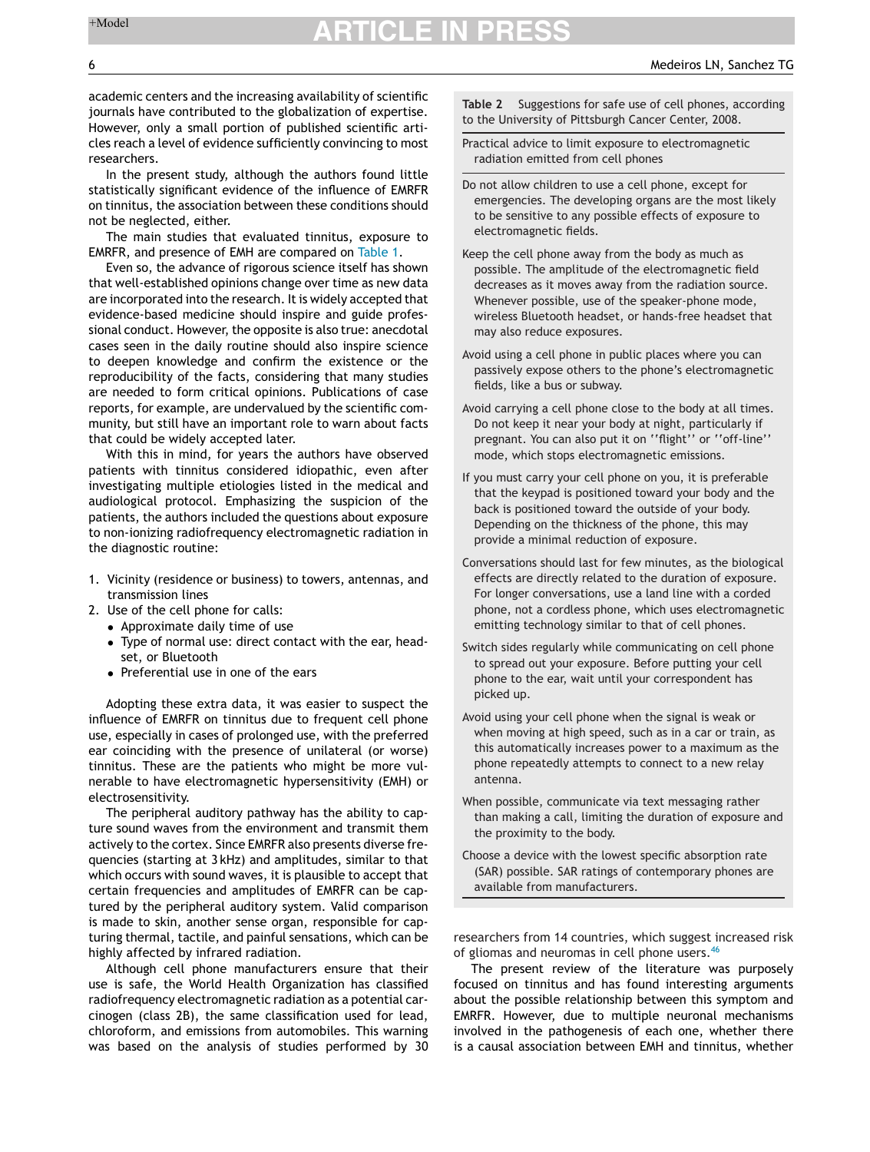<span id="page-5-0"></span>academic centers and the increasing availability of scientific journals have contributed to the globalization of expertise. However, only a small portion of published scientific articles reach a level of evidence sufficiently convincing to most researchers.

In the present study, although the authors found little statistically significant evidence of the influence of EMRFR on tinnitus, the association between these conditions should not be neglected, either.

The main studies that evaluated tinnitus, exposure to EMRFR, and presence of EMH are compared on [Table](#page-3-0) 1.

Even so, the advance of rigorous science itself has shown that well-established opinions change over time as new data are incorporated into the research. It is widely accepted that evidence-based medicine should inspire and guide professional conduct. However, the opposite is also true: anecdotal cases seen in the daily routine should also inspire science to deepen knowledge and confirm the existence or the reproducibility of the facts, considering that many studies are needed to form critical opinions. Publications of case reports, for example, are undervalued by the scientific community, but still have an important role to warn about facts that could be widely accepted later.

With this in mind, for years the authors have observed patients with tinnitus considered idiopathic, even after investigating multiple etiologies listed in the medical and audiological protocol. Emphasizing the suspicion of the patients, the authors included the questions about exposure to non-ionizing radiofrequency electromagnetic radiation in the diagnostic routine:

- 1. Vicinity (residence or business) to towers, antennas, and transmission lines
- 2. Use of the cell phone for calls:
	- Approximate daily time of use
	- Type of normal use: direct contact with the ear, headset, or Bluetooth
	- Preferential use in one of the ears

Adopting these extra data, it was easier to suspect the influence of EMRFR on tinnitus due to frequent cell phone use, especially in cases of prolonged use, with the preferred ear coinciding with the presence of unilateral (or worse) tinnitus. These are the patients who might be more vulnerable to have electromagnetic hypersensitivity (EMH) or electrosensitivity.

The peripheral auditory pathway has the ability to capture sound waves from the environment and transmit them actively to the cortex. Since EMRFR also presents diverse frequencies (starting at 3 kHz) and amplitudes, similar to that which occurs with sound waves, it is plausible to accept that certain frequencies and amplitudes of EMRFR can be captured by the peripheral auditory system. Valid comparison is made to skin, another sense organ, responsible for capturing thermal, tactile, and painful sensations, which can be highly affected by infrared radiation.

Although cell phone manufacturers ensure that their use is safe, the World Health Organization has classified radiofrequency electromagnetic radiation as a potential carcinogen (class 2B), the same classification used for lead, chloroform, and emissions from automobiles. This warning was based on the analysis of studies performed by 30 **Table 2** Suggestions for safe use of cell phones, according to the University of Pittsburgh Cancer Center, 2008.

Practical advice to limit exposure to electromagnetic radiation emitted from cell phones

- Do not allow children to use a cell phone, except for emergencies. The developing organs are the most likely to be sensitive to any possible effects of exposure to electromagnetic fields.
- Keep the cell phone away from the body as much as possible. The amplitude of the electromagnetic field decreases as it moves away from the radiation source. Whenever possible, use of the speaker-phone mode, wireless Bluetooth headset, or hands-free headset that may also reduce exposures.
- Avoid using a cell phone in public places where you can passively expose others to the phone's electromagnetic fields, like a bus or subway.
- Avoid carrying a cell phone close to the body at all times. Do not keep it near your body at night, particularly if pregnant. You can also put it on ''flight'' or ''off-line'' mode, which stops electromagnetic emissions.
- If you must carry your cell phone on you, it is preferable that the keypad is positioned toward your body and the back is positioned toward the outside of your body. Depending on the thickness of the phone, this may provide a minimal reduction of exposure.
- Conversations should last for few minutes, as the biological effects are directly related to the duration of exposure. For longer conversations, use a land line with a corded phone, not a cordless phone, which uses electromagnetic emitting technology similar to that of cell phones.
- Switch sides regularly while communicating on cell phone to spread out your exposure. Before putting your cell phone to the ear, wait until your correspondent has picked up.
- Avoid using your cell phone when the signal is weak or when moving at high speed, such as in a car or train, as this automatically increases power to a maximum as the phone repeatedly attempts to connect to a new relay antenna.
- When possible, communicate via text messaging rather than making a call, limiting the duration of exposure and the proximity to the body.
- Choose a device with the lowest specific absorption rate (SAR) possible. SAR ratings of contemporary phones are available from manufacturers.

researchers from 14 countries, which suggest increased risk of gliomas and neuromas in cell phone users.<sup>[46](#page-7-0)</sup>

The present review of the literature was purposely focused on tinnitus and has found interesting arguments about the possible relationship between this symptom and EMRFR. However, due to multiple neuronal mechanisms involved in the pathogenesis of each one, whether there is a causal association between EMH and tinnitus, whether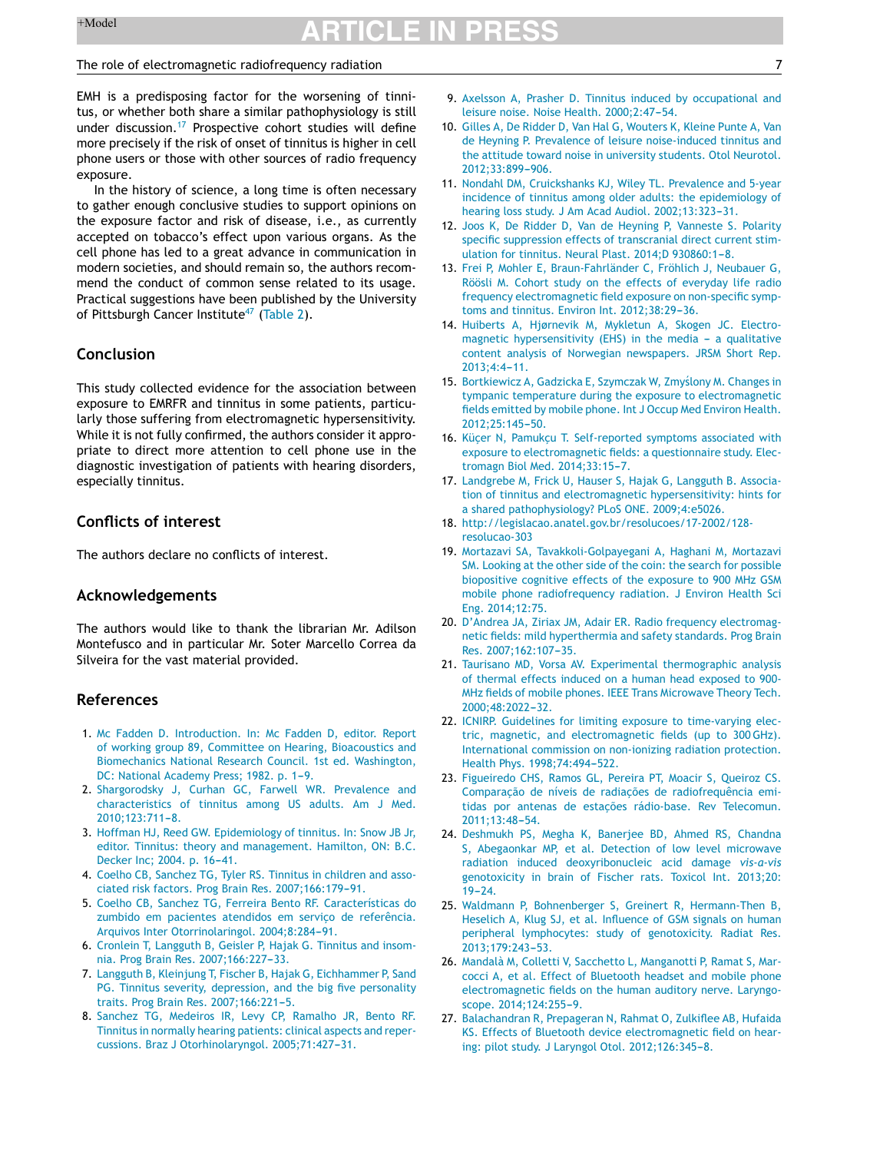#### <span id="page-6-0"></span>The role of electromagnetic radiofrequency radiation 7  $\,$

EMH is a predisposing factor for the worsening of tinnitus, or whether both share a similar pathophysiology is still under discussion.<sup>17</sup> Prospective cohort studies will define more precisely if the risk of onset of tinnitus is higher in cell phone users or those with other sources of radio frequency exposure.

In the history of science, a long time is often necessary to gather enough conclusive studies to support opinions on the exposure factor and risk of disease, i.e., as currently accepted on tobacco's effect upon various organs. As the cell phone has led to a great advance in communication in modern societies, and should remain so, the authors recommend the conduct of common sense related to its usage. Practical suggestions have been published by the University of Pittsburgh Cancer Institute<sup>[47](#page-7-0)</sup> ([Table](#page-5-0) 2).

### **Conclusion**

This study collected evidence for the association between exposure to EMRFR and tinnitus in some patients, particularly those suffering from electromagnetic hypersensitivity. While it is not fully confirmed, the authors consider it appropriate to direct more attention to cell phone use in the diagnostic investigation of patients with hearing disorders, especially tinnitus.

### **Conflicts of interest**

The authors declare no conflicts of interest.

### **Acknowledgements**

The authors would like to thank the librarian Mr. Adilson Montefusco and in particular Mr. Soter Marcello Correa da Silveira for the vast material provided.

### **References**

- 1. [Mc](http://refhub.elsevier.com/S1808-8694(15)00163-9/sbref0240) [Fadden](http://refhub.elsevier.com/S1808-8694(15)00163-9/sbref0240) [D.](http://refhub.elsevier.com/S1808-8694(15)00163-9/sbref0240) [Introduction.](http://refhub.elsevier.com/S1808-8694(15)00163-9/sbref0240) [In:](http://refhub.elsevier.com/S1808-8694(15)00163-9/sbref0240) [Mc](http://refhub.elsevier.com/S1808-8694(15)00163-9/sbref0240) [Fadden](http://refhub.elsevier.com/S1808-8694(15)00163-9/sbref0240) [D,](http://refhub.elsevier.com/S1808-8694(15)00163-9/sbref0240) [editor.](http://refhub.elsevier.com/S1808-8694(15)00163-9/sbref0240) [Report](http://refhub.elsevier.com/S1808-8694(15)00163-9/sbref0240) [of](http://refhub.elsevier.com/S1808-8694(15)00163-9/sbref0240) [working](http://refhub.elsevier.com/S1808-8694(15)00163-9/sbref0240) [group](http://refhub.elsevier.com/S1808-8694(15)00163-9/sbref0240) [89,](http://refhub.elsevier.com/S1808-8694(15)00163-9/sbref0240) [Committee](http://refhub.elsevier.com/S1808-8694(15)00163-9/sbref0240) [on](http://refhub.elsevier.com/S1808-8694(15)00163-9/sbref0240) [Hearing,](http://refhub.elsevier.com/S1808-8694(15)00163-9/sbref0240) [Bioacoustics](http://refhub.elsevier.com/S1808-8694(15)00163-9/sbref0240) [and](http://refhub.elsevier.com/S1808-8694(15)00163-9/sbref0240) [Biomechanics](http://refhub.elsevier.com/S1808-8694(15)00163-9/sbref0240) [National](http://refhub.elsevier.com/S1808-8694(15)00163-9/sbref0240) [Research](http://refhub.elsevier.com/S1808-8694(15)00163-9/sbref0240) [Council.](http://refhub.elsevier.com/S1808-8694(15)00163-9/sbref0240) [1st](http://refhub.elsevier.com/S1808-8694(15)00163-9/sbref0240) [ed.](http://refhub.elsevier.com/S1808-8694(15)00163-9/sbref0240) [Washington,](http://refhub.elsevier.com/S1808-8694(15)00163-9/sbref0240) [DC:](http://refhub.elsevier.com/S1808-8694(15)00163-9/sbref0240) [National](http://refhub.elsevier.com/S1808-8694(15)00163-9/sbref0240) [Academy](http://refhub.elsevier.com/S1808-8694(15)00163-9/sbref0240) [Press;](http://refhub.elsevier.com/S1808-8694(15)00163-9/sbref0240) [1982.](http://refhub.elsevier.com/S1808-8694(15)00163-9/sbref0240) [p.](http://refhub.elsevier.com/S1808-8694(15)00163-9/sbref0240) 1-9.
- 2. [Shargorodsky](http://refhub.elsevier.com/S1808-8694(15)00163-9/sbref0245) [J,](http://refhub.elsevier.com/S1808-8694(15)00163-9/sbref0245) [Curhan](http://refhub.elsevier.com/S1808-8694(15)00163-9/sbref0245) [GC,](http://refhub.elsevier.com/S1808-8694(15)00163-9/sbref0245) [Farwell](http://refhub.elsevier.com/S1808-8694(15)00163-9/sbref0245) [WR.](http://refhub.elsevier.com/S1808-8694(15)00163-9/sbref0245) [Prevalence](http://refhub.elsevier.com/S1808-8694(15)00163-9/sbref0245) [and](http://refhub.elsevier.com/S1808-8694(15)00163-9/sbref0245) [characteristics](http://refhub.elsevier.com/S1808-8694(15)00163-9/sbref0245) [of](http://refhub.elsevier.com/S1808-8694(15)00163-9/sbref0245) [tinnitus](http://refhub.elsevier.com/S1808-8694(15)00163-9/sbref0245) [among](http://refhub.elsevier.com/S1808-8694(15)00163-9/sbref0245) [US](http://refhub.elsevier.com/S1808-8694(15)00163-9/sbref0245) [adults.](http://refhub.elsevier.com/S1808-8694(15)00163-9/sbref0245) [Am](http://refhub.elsevier.com/S1808-8694(15)00163-9/sbref0245) [J](http://refhub.elsevier.com/S1808-8694(15)00163-9/sbref0245) [Med.](http://refhub.elsevier.com/S1808-8694(15)00163-9/sbref0245) 2010:123:711-[8.](http://refhub.elsevier.com/S1808-8694(15)00163-9/sbref0245)
- 3. [Hoffman](http://refhub.elsevier.com/S1808-8694(15)00163-9/sbref0250) [HJ,](http://refhub.elsevier.com/S1808-8694(15)00163-9/sbref0250) [Reed](http://refhub.elsevier.com/S1808-8694(15)00163-9/sbref0250) [GW.](http://refhub.elsevier.com/S1808-8694(15)00163-9/sbref0250) [Epidemiology](http://refhub.elsevier.com/S1808-8694(15)00163-9/sbref0250) [of](http://refhub.elsevier.com/S1808-8694(15)00163-9/sbref0250) [tinnitus.](http://refhub.elsevier.com/S1808-8694(15)00163-9/sbref0250) [In:](http://refhub.elsevier.com/S1808-8694(15)00163-9/sbref0250) [Snow](http://refhub.elsevier.com/S1808-8694(15)00163-9/sbref0250) [JB](http://refhub.elsevier.com/S1808-8694(15)00163-9/sbref0250) [Jr,](http://refhub.elsevier.com/S1808-8694(15)00163-9/sbref0250) [editor.](http://refhub.elsevier.com/S1808-8694(15)00163-9/sbref0250) [Tinnitus:](http://refhub.elsevier.com/S1808-8694(15)00163-9/sbref0250) [theory](http://refhub.elsevier.com/S1808-8694(15)00163-9/sbref0250) [and](http://refhub.elsevier.com/S1808-8694(15)00163-9/sbref0250) [management.](http://refhub.elsevier.com/S1808-8694(15)00163-9/sbref0250) [Hamilton,](http://refhub.elsevier.com/S1808-8694(15)00163-9/sbref0250) [ON:](http://refhub.elsevier.com/S1808-8694(15)00163-9/sbref0250) [B.C.](http://refhub.elsevier.com/S1808-8694(15)00163-9/sbref0250) [Decker](http://refhub.elsevier.com/S1808-8694(15)00163-9/sbref0250) [Inc;](http://refhub.elsevier.com/S1808-8694(15)00163-9/sbref0250) [2004.](http://refhub.elsevier.com/S1808-8694(15)00163-9/sbref0250) [p.](http://refhub.elsevier.com/S1808-8694(15)00163-9/sbref0250) [16-](http://refhub.elsevier.com/S1808-8694(15)00163-9/sbref0250)[41.](http://refhub.elsevier.com/S1808-8694(15)00163-9/sbref0250)
- 4. [Coelho](http://refhub.elsevier.com/S1808-8694(15)00163-9/sbref0255) [CB,](http://refhub.elsevier.com/S1808-8694(15)00163-9/sbref0255) [Sanchez](http://refhub.elsevier.com/S1808-8694(15)00163-9/sbref0255) [TG,](http://refhub.elsevier.com/S1808-8694(15)00163-9/sbref0255) [Tyler](http://refhub.elsevier.com/S1808-8694(15)00163-9/sbref0255) [RS.](http://refhub.elsevier.com/S1808-8694(15)00163-9/sbref0255) [Tinnitus](http://refhub.elsevier.com/S1808-8694(15)00163-9/sbref0255) [in](http://refhub.elsevier.com/S1808-8694(15)00163-9/sbref0255) [children](http://refhub.elsevier.com/S1808-8694(15)00163-9/sbref0255) [and](http://refhub.elsevier.com/S1808-8694(15)00163-9/sbref0255) [asso](http://refhub.elsevier.com/S1808-8694(15)00163-9/sbref0255)[ciated](http://refhub.elsevier.com/S1808-8694(15)00163-9/sbref0255) [risk](http://refhub.elsevier.com/S1808-8694(15)00163-9/sbref0255) [factors.](http://refhub.elsevier.com/S1808-8694(15)00163-9/sbref0255) [Prog](http://refhub.elsevier.com/S1808-8694(15)00163-9/sbref0255) [Brain](http://refhub.elsevier.com/S1808-8694(15)00163-9/sbref0255) [Res.](http://refhub.elsevier.com/S1808-8694(15)00163-9/sbref0255) [2007;166:179](http://refhub.elsevier.com/S1808-8694(15)00163-9/sbref0255)[-91.](http://refhub.elsevier.com/S1808-8694(15)00163-9/sbref0255)
- 5. [Coelho](http://refhub.elsevier.com/S1808-8694(15)00163-9/sbref0260) [CB,](http://refhub.elsevier.com/S1808-8694(15)00163-9/sbref0260) [Sanchez](http://refhub.elsevier.com/S1808-8694(15)00163-9/sbref0260) [TG,](http://refhub.elsevier.com/S1808-8694(15)00163-9/sbref0260) [Ferreira](http://refhub.elsevier.com/S1808-8694(15)00163-9/sbref0260) [Bento](http://refhub.elsevier.com/S1808-8694(15)00163-9/sbref0260) [RF.](http://refhub.elsevier.com/S1808-8694(15)00163-9/sbref0260) [Características](http://refhub.elsevier.com/S1808-8694(15)00163-9/sbref0260) [do](http://refhub.elsevier.com/S1808-8694(15)00163-9/sbref0260) [zumbido](http://refhub.elsevier.com/S1808-8694(15)00163-9/sbref0260) [em](http://refhub.elsevier.com/S1808-8694(15)00163-9/sbref0260) [pacientes](http://refhub.elsevier.com/S1808-8694(15)00163-9/sbref0260) [atendidos](http://refhub.elsevier.com/S1808-8694(15)00163-9/sbref0260) em serviço [de](http://refhub.elsevier.com/S1808-8694(15)00163-9/sbref0260) [referência.](http://refhub.elsevier.com/S1808-8694(15)00163-9/sbref0260) [Arquivos](http://refhub.elsevier.com/S1808-8694(15)00163-9/sbref0260) [Inter](http://refhub.elsevier.com/S1808-8694(15)00163-9/sbref0260) [Otorrinolaringol.](http://refhub.elsevier.com/S1808-8694(15)00163-9/sbref0260) 2004;8:284-91.
- 6. [Cronlein](http://refhub.elsevier.com/S1808-8694(15)00163-9/sbref0265) [T,](http://refhub.elsevier.com/S1808-8694(15)00163-9/sbref0265) [Langguth](http://refhub.elsevier.com/S1808-8694(15)00163-9/sbref0265) [B,](http://refhub.elsevier.com/S1808-8694(15)00163-9/sbref0265) [Geisler](http://refhub.elsevier.com/S1808-8694(15)00163-9/sbref0265) [P,](http://refhub.elsevier.com/S1808-8694(15)00163-9/sbref0265) [Hajak](http://refhub.elsevier.com/S1808-8694(15)00163-9/sbref0265) [G.](http://refhub.elsevier.com/S1808-8694(15)00163-9/sbref0265) [Tinnitus](http://refhub.elsevier.com/S1808-8694(15)00163-9/sbref0265) [and](http://refhub.elsevier.com/S1808-8694(15)00163-9/sbref0265) [insom](http://refhub.elsevier.com/S1808-8694(15)00163-9/sbref0265)[nia.](http://refhub.elsevier.com/S1808-8694(15)00163-9/sbref0265) [Prog](http://refhub.elsevier.com/S1808-8694(15)00163-9/sbref0265) [Brain](http://refhub.elsevier.com/S1808-8694(15)00163-9/sbref0265) [Res.](http://refhub.elsevier.com/S1808-8694(15)00163-9/sbref0265) 2007;166:227-33.
- 7. [Langguth](http://refhub.elsevier.com/S1808-8694(15)00163-9/sbref0270) [B,](http://refhub.elsevier.com/S1808-8694(15)00163-9/sbref0270) [Kleinjung](http://refhub.elsevier.com/S1808-8694(15)00163-9/sbref0270) [T,](http://refhub.elsevier.com/S1808-8694(15)00163-9/sbref0270) [Fischer](http://refhub.elsevier.com/S1808-8694(15)00163-9/sbref0270) [B,](http://refhub.elsevier.com/S1808-8694(15)00163-9/sbref0270) [Hajak](http://refhub.elsevier.com/S1808-8694(15)00163-9/sbref0270) [G,](http://refhub.elsevier.com/S1808-8694(15)00163-9/sbref0270) [Eichhammer](http://refhub.elsevier.com/S1808-8694(15)00163-9/sbref0270) [P,](http://refhub.elsevier.com/S1808-8694(15)00163-9/sbref0270) [Sand](http://refhub.elsevier.com/S1808-8694(15)00163-9/sbref0270) [PG.](http://refhub.elsevier.com/S1808-8694(15)00163-9/sbref0270) [Tinnitus](http://refhub.elsevier.com/S1808-8694(15)00163-9/sbref0270) [severity,](http://refhub.elsevier.com/S1808-8694(15)00163-9/sbref0270) [depression,](http://refhub.elsevier.com/S1808-8694(15)00163-9/sbref0270) [and](http://refhub.elsevier.com/S1808-8694(15)00163-9/sbref0270) [the](http://refhub.elsevier.com/S1808-8694(15)00163-9/sbref0270) [big](http://refhub.elsevier.com/S1808-8694(15)00163-9/sbref0270) [five](http://refhub.elsevier.com/S1808-8694(15)00163-9/sbref0270) [personality](http://refhub.elsevier.com/S1808-8694(15)00163-9/sbref0270) [traits.](http://refhub.elsevier.com/S1808-8694(15)00163-9/sbref0270) [Prog](http://refhub.elsevier.com/S1808-8694(15)00163-9/sbref0270) [Brain](http://refhub.elsevier.com/S1808-8694(15)00163-9/sbref0270) [Res.](http://refhub.elsevier.com/S1808-8694(15)00163-9/sbref0270) 2007;166:221-5.
- 8. [Sanchez](http://refhub.elsevier.com/S1808-8694(15)00163-9/sbref0275) [TG,](http://refhub.elsevier.com/S1808-8694(15)00163-9/sbref0275) [Medeiros](http://refhub.elsevier.com/S1808-8694(15)00163-9/sbref0275) [IR,](http://refhub.elsevier.com/S1808-8694(15)00163-9/sbref0275) [Levy](http://refhub.elsevier.com/S1808-8694(15)00163-9/sbref0275) [CP,](http://refhub.elsevier.com/S1808-8694(15)00163-9/sbref0275) [Ramalho](http://refhub.elsevier.com/S1808-8694(15)00163-9/sbref0275) [JR,](http://refhub.elsevier.com/S1808-8694(15)00163-9/sbref0275) [Bento](http://refhub.elsevier.com/S1808-8694(15)00163-9/sbref0275) [RF.](http://refhub.elsevier.com/S1808-8694(15)00163-9/sbref0275) [Tinnitus](http://refhub.elsevier.com/S1808-8694(15)00163-9/sbref0275) [in](http://refhub.elsevier.com/S1808-8694(15)00163-9/sbref0275) [normally](http://refhub.elsevier.com/S1808-8694(15)00163-9/sbref0275) [hearing](http://refhub.elsevier.com/S1808-8694(15)00163-9/sbref0275) [patients:](http://refhub.elsevier.com/S1808-8694(15)00163-9/sbref0275) [clinical](http://refhub.elsevier.com/S1808-8694(15)00163-9/sbref0275) [aspects](http://refhub.elsevier.com/S1808-8694(15)00163-9/sbref0275) [and](http://refhub.elsevier.com/S1808-8694(15)00163-9/sbref0275) [reper](http://refhub.elsevier.com/S1808-8694(15)00163-9/sbref0275)[cussions.](http://refhub.elsevier.com/S1808-8694(15)00163-9/sbref0275) [Braz](http://refhub.elsevier.com/S1808-8694(15)00163-9/sbref0275) [J](http://refhub.elsevier.com/S1808-8694(15)00163-9/sbref0275) [Otorhinolaryngol.](http://refhub.elsevier.com/S1808-8694(15)00163-9/sbref0275) 2005;71:427-31.
- 9. [Axelsson](http://refhub.elsevier.com/S1808-8694(15)00163-9/sbref0280) [A,](http://refhub.elsevier.com/S1808-8694(15)00163-9/sbref0280) [Prasher](http://refhub.elsevier.com/S1808-8694(15)00163-9/sbref0280) [D.](http://refhub.elsevier.com/S1808-8694(15)00163-9/sbref0280) [Tinnitus](http://refhub.elsevier.com/S1808-8694(15)00163-9/sbref0280) [induced](http://refhub.elsevier.com/S1808-8694(15)00163-9/sbref0280) [by](http://refhub.elsevier.com/S1808-8694(15)00163-9/sbref0280) [occupational](http://refhub.elsevier.com/S1808-8694(15)00163-9/sbref0280) [and](http://refhub.elsevier.com/S1808-8694(15)00163-9/sbref0280) [leisure](http://refhub.elsevier.com/S1808-8694(15)00163-9/sbref0280) [noise.](http://refhub.elsevier.com/S1808-8694(15)00163-9/sbref0280) [Noise](http://refhub.elsevier.com/S1808-8694(15)00163-9/sbref0280) [Health.](http://refhub.elsevier.com/S1808-8694(15)00163-9/sbref0280) 2000;2:47-54.
- 10. [Gilles](http://refhub.elsevier.com/S1808-8694(15)00163-9/sbref0285) [A,](http://refhub.elsevier.com/S1808-8694(15)00163-9/sbref0285) [De](http://refhub.elsevier.com/S1808-8694(15)00163-9/sbref0285) [Ridder](http://refhub.elsevier.com/S1808-8694(15)00163-9/sbref0285) [D,](http://refhub.elsevier.com/S1808-8694(15)00163-9/sbref0285) [Van](http://refhub.elsevier.com/S1808-8694(15)00163-9/sbref0285) [Hal](http://refhub.elsevier.com/S1808-8694(15)00163-9/sbref0285) [G,](http://refhub.elsevier.com/S1808-8694(15)00163-9/sbref0285) [Wouters](http://refhub.elsevier.com/S1808-8694(15)00163-9/sbref0285) [K,](http://refhub.elsevier.com/S1808-8694(15)00163-9/sbref0285) [Kleine](http://refhub.elsevier.com/S1808-8694(15)00163-9/sbref0285) [Punte](http://refhub.elsevier.com/S1808-8694(15)00163-9/sbref0285) [A,](http://refhub.elsevier.com/S1808-8694(15)00163-9/sbref0285) [Van](http://refhub.elsevier.com/S1808-8694(15)00163-9/sbref0285) [de](http://refhub.elsevier.com/S1808-8694(15)00163-9/sbref0285) [Heyning](http://refhub.elsevier.com/S1808-8694(15)00163-9/sbref0285) [P.](http://refhub.elsevier.com/S1808-8694(15)00163-9/sbref0285) [Prevalence](http://refhub.elsevier.com/S1808-8694(15)00163-9/sbref0285) [of](http://refhub.elsevier.com/S1808-8694(15)00163-9/sbref0285) [leisure](http://refhub.elsevier.com/S1808-8694(15)00163-9/sbref0285) [noise-induced](http://refhub.elsevier.com/S1808-8694(15)00163-9/sbref0285) [tinnitus](http://refhub.elsevier.com/S1808-8694(15)00163-9/sbref0285) [and](http://refhub.elsevier.com/S1808-8694(15)00163-9/sbref0285) [the](http://refhub.elsevier.com/S1808-8694(15)00163-9/sbref0285) [attitude](http://refhub.elsevier.com/S1808-8694(15)00163-9/sbref0285) [toward](http://refhub.elsevier.com/S1808-8694(15)00163-9/sbref0285) [noise](http://refhub.elsevier.com/S1808-8694(15)00163-9/sbref0285) [in](http://refhub.elsevier.com/S1808-8694(15)00163-9/sbref0285) [university](http://refhub.elsevier.com/S1808-8694(15)00163-9/sbref0285) [students.](http://refhub.elsevier.com/S1808-8694(15)00163-9/sbref0285) [Otol](http://refhub.elsevier.com/S1808-8694(15)00163-9/sbref0285) [Neurotol.](http://refhub.elsevier.com/S1808-8694(15)00163-9/sbref0285) 2012:33:899-906.
- 11. [Nondahl](http://refhub.elsevier.com/S1808-8694(15)00163-9/sbref0290) [DM,](http://refhub.elsevier.com/S1808-8694(15)00163-9/sbref0290) [Cruickshanks](http://refhub.elsevier.com/S1808-8694(15)00163-9/sbref0290) [KJ,](http://refhub.elsevier.com/S1808-8694(15)00163-9/sbref0290) [Wiley](http://refhub.elsevier.com/S1808-8694(15)00163-9/sbref0290) [TL.](http://refhub.elsevier.com/S1808-8694(15)00163-9/sbref0290) [Prevalence](http://refhub.elsevier.com/S1808-8694(15)00163-9/sbref0290) [and](http://refhub.elsevier.com/S1808-8694(15)00163-9/sbref0290) [5-year](http://refhub.elsevier.com/S1808-8694(15)00163-9/sbref0290) [incidence](http://refhub.elsevier.com/S1808-8694(15)00163-9/sbref0290) [of](http://refhub.elsevier.com/S1808-8694(15)00163-9/sbref0290) [tinnitus](http://refhub.elsevier.com/S1808-8694(15)00163-9/sbref0290) [among](http://refhub.elsevier.com/S1808-8694(15)00163-9/sbref0290) [older](http://refhub.elsevier.com/S1808-8694(15)00163-9/sbref0290) [adults:](http://refhub.elsevier.com/S1808-8694(15)00163-9/sbref0290) [the](http://refhub.elsevier.com/S1808-8694(15)00163-9/sbref0290) [epidemiology](http://refhub.elsevier.com/S1808-8694(15)00163-9/sbref0290) [of](http://refhub.elsevier.com/S1808-8694(15)00163-9/sbref0290) [hearing](http://refhub.elsevier.com/S1808-8694(15)00163-9/sbref0290) [loss](http://refhub.elsevier.com/S1808-8694(15)00163-9/sbref0290) [study.](http://refhub.elsevier.com/S1808-8694(15)00163-9/sbref0290) [J](http://refhub.elsevier.com/S1808-8694(15)00163-9/sbref0290) [Am](http://refhub.elsevier.com/S1808-8694(15)00163-9/sbref0290) [Acad](http://refhub.elsevier.com/S1808-8694(15)00163-9/sbref0290) [Audiol.](http://refhub.elsevier.com/S1808-8694(15)00163-9/sbref0290) 2002;13:323-31.
- 12. [Joos](http://refhub.elsevier.com/S1808-8694(15)00163-9/sbref0295) [K,](http://refhub.elsevier.com/S1808-8694(15)00163-9/sbref0295) [De](http://refhub.elsevier.com/S1808-8694(15)00163-9/sbref0295) [Ridder](http://refhub.elsevier.com/S1808-8694(15)00163-9/sbref0295) [D,](http://refhub.elsevier.com/S1808-8694(15)00163-9/sbref0295) [Van](http://refhub.elsevier.com/S1808-8694(15)00163-9/sbref0295) [de](http://refhub.elsevier.com/S1808-8694(15)00163-9/sbref0295) [Heyning](http://refhub.elsevier.com/S1808-8694(15)00163-9/sbref0295) [P,](http://refhub.elsevier.com/S1808-8694(15)00163-9/sbref0295) [Vanneste](http://refhub.elsevier.com/S1808-8694(15)00163-9/sbref0295) [S.](http://refhub.elsevier.com/S1808-8694(15)00163-9/sbref0295) [Polarity](http://refhub.elsevier.com/S1808-8694(15)00163-9/sbref0295) [specific](http://refhub.elsevier.com/S1808-8694(15)00163-9/sbref0295) [suppression](http://refhub.elsevier.com/S1808-8694(15)00163-9/sbref0295) [effects](http://refhub.elsevier.com/S1808-8694(15)00163-9/sbref0295) [of](http://refhub.elsevier.com/S1808-8694(15)00163-9/sbref0295) [transcranial](http://refhub.elsevier.com/S1808-8694(15)00163-9/sbref0295) [direct](http://refhub.elsevier.com/S1808-8694(15)00163-9/sbref0295) [current](http://refhub.elsevier.com/S1808-8694(15)00163-9/sbref0295) [stim](http://refhub.elsevier.com/S1808-8694(15)00163-9/sbref0295)[ulation](http://refhub.elsevier.com/S1808-8694(15)00163-9/sbref0295) [for](http://refhub.elsevier.com/S1808-8694(15)00163-9/sbref0295) [tinnitus.](http://refhub.elsevier.com/S1808-8694(15)00163-9/sbref0295) [Neural](http://refhub.elsevier.com/S1808-8694(15)00163-9/sbref0295) [Plast.](http://refhub.elsevier.com/S1808-8694(15)00163-9/sbref0295)  $2014$ ; D  $930860$ : 1-[8.](http://refhub.elsevier.com/S1808-8694(15)00163-9/sbref0295)
- 13. [Frei](http://refhub.elsevier.com/S1808-8694(15)00163-9/sbref0300) [P,](http://refhub.elsevier.com/S1808-8694(15)00163-9/sbref0300) [Mohler](http://refhub.elsevier.com/S1808-8694(15)00163-9/sbref0300) [E,](http://refhub.elsevier.com/S1808-8694(15)00163-9/sbref0300) [Braun-Fahrländer](http://refhub.elsevier.com/S1808-8694(15)00163-9/sbref0300) [C,](http://refhub.elsevier.com/S1808-8694(15)00163-9/sbref0300) [Fröhlich](http://refhub.elsevier.com/S1808-8694(15)00163-9/sbref0300) [J,](http://refhub.elsevier.com/S1808-8694(15)00163-9/sbref0300) [Neubauer](http://refhub.elsevier.com/S1808-8694(15)00163-9/sbref0300) [G,](http://refhub.elsevier.com/S1808-8694(15)00163-9/sbref0300) [Röösli](http://refhub.elsevier.com/S1808-8694(15)00163-9/sbref0300) [M.](http://refhub.elsevier.com/S1808-8694(15)00163-9/sbref0300) [Cohort](http://refhub.elsevier.com/S1808-8694(15)00163-9/sbref0300) [study](http://refhub.elsevier.com/S1808-8694(15)00163-9/sbref0300) [on](http://refhub.elsevier.com/S1808-8694(15)00163-9/sbref0300) [the](http://refhub.elsevier.com/S1808-8694(15)00163-9/sbref0300) [effects](http://refhub.elsevier.com/S1808-8694(15)00163-9/sbref0300) [of](http://refhub.elsevier.com/S1808-8694(15)00163-9/sbref0300) [everyday](http://refhub.elsevier.com/S1808-8694(15)00163-9/sbref0300) [life](http://refhub.elsevier.com/S1808-8694(15)00163-9/sbref0300) [radio](http://refhub.elsevier.com/S1808-8694(15)00163-9/sbref0300) [frequency](http://refhub.elsevier.com/S1808-8694(15)00163-9/sbref0300) [electromagnetic](http://refhub.elsevier.com/S1808-8694(15)00163-9/sbref0300) [field](http://refhub.elsevier.com/S1808-8694(15)00163-9/sbref0300) [exposure](http://refhub.elsevier.com/S1808-8694(15)00163-9/sbref0300) [on](http://refhub.elsevier.com/S1808-8694(15)00163-9/sbref0300) [non-specific](http://refhub.elsevier.com/S1808-8694(15)00163-9/sbref0300) [symp](http://refhub.elsevier.com/S1808-8694(15)00163-9/sbref0300)[toms](http://refhub.elsevier.com/S1808-8694(15)00163-9/sbref0300) [and](http://refhub.elsevier.com/S1808-8694(15)00163-9/sbref0300) [tinnitus.](http://refhub.elsevier.com/S1808-8694(15)00163-9/sbref0300) [Environ](http://refhub.elsevier.com/S1808-8694(15)00163-9/sbref0300) [Int.](http://refhub.elsevier.com/S1808-8694(15)00163-9/sbref0300) [2012;38:29](http://refhub.elsevier.com/S1808-8694(15)00163-9/sbref0300)-[36.](http://refhub.elsevier.com/S1808-8694(15)00163-9/sbref0300)
- 14. [Huiberts](http://refhub.elsevier.com/S1808-8694(15)00163-9/sbref0305) [A,](http://refhub.elsevier.com/S1808-8694(15)00163-9/sbref0305) [Hjørnevik](http://refhub.elsevier.com/S1808-8694(15)00163-9/sbref0305) [M,](http://refhub.elsevier.com/S1808-8694(15)00163-9/sbref0305) [Mykletun](http://refhub.elsevier.com/S1808-8694(15)00163-9/sbref0305) [A,](http://refhub.elsevier.com/S1808-8694(15)00163-9/sbref0305) [Skogen](http://refhub.elsevier.com/S1808-8694(15)00163-9/sbref0305) [JC.](http://refhub.elsevier.com/S1808-8694(15)00163-9/sbref0305) [Electro](http://refhub.elsevier.com/S1808-8694(15)00163-9/sbref0305)[magnetic](http://refhub.elsevier.com/S1808-8694(15)00163-9/sbref0305) [hypersensitivity](http://refhub.elsevier.com/S1808-8694(15)00163-9/sbref0305) [\(EHS\)](http://refhub.elsevier.com/S1808-8694(15)00163-9/sbref0305) [in](http://refhub.elsevier.com/S1808-8694(15)00163-9/sbref0305) [the](http://refhub.elsevier.com/S1808-8694(15)00163-9/sbref0305) [media](http://refhub.elsevier.com/S1808-8694(15)00163-9/sbref0305)  $-$  [a](http://refhub.elsevier.com/S1808-8694(15)00163-9/sbref0305) [qualitative](http://refhub.elsevier.com/S1808-8694(15)00163-9/sbref0305) [content](http://refhub.elsevier.com/S1808-8694(15)00163-9/sbref0305) [analysis](http://refhub.elsevier.com/S1808-8694(15)00163-9/sbref0305) [of](http://refhub.elsevier.com/S1808-8694(15)00163-9/sbref0305) [Norwegian](http://refhub.elsevier.com/S1808-8694(15)00163-9/sbref0305) [newspapers.](http://refhub.elsevier.com/S1808-8694(15)00163-9/sbref0305) [JRSM](http://refhub.elsevier.com/S1808-8694(15)00163-9/sbref0305) [Short](http://refhub.elsevier.com/S1808-8694(15)00163-9/sbref0305) [Rep.](http://refhub.elsevier.com/S1808-8694(15)00163-9/sbref0305)  $2013:4:4-11.$  $2013:4:4-11.$
- 15. [Bortkiewicz](http://refhub.elsevier.com/S1808-8694(15)00163-9/sbref0310) [A,](http://refhub.elsevier.com/S1808-8694(15)00163-9/sbref0310) [Gadzicka](http://refhub.elsevier.com/S1808-8694(15)00163-9/sbref0310) [E,](http://refhub.elsevier.com/S1808-8694(15)00163-9/sbref0310) [Szymczak](http://refhub.elsevier.com/S1808-8694(15)00163-9/sbref0310) [W,](http://refhub.elsevier.com/S1808-8694(15)00163-9/sbref0310) Zmyślony [M.](http://refhub.elsevier.com/S1808-8694(15)00163-9/sbref0310) [Changes](http://refhub.elsevier.com/S1808-8694(15)00163-9/sbref0310) [in](http://refhub.elsevier.com/S1808-8694(15)00163-9/sbref0310) [tympanic](http://refhub.elsevier.com/S1808-8694(15)00163-9/sbref0310) [temperature](http://refhub.elsevier.com/S1808-8694(15)00163-9/sbref0310) [during](http://refhub.elsevier.com/S1808-8694(15)00163-9/sbref0310) [the](http://refhub.elsevier.com/S1808-8694(15)00163-9/sbref0310) [exposure](http://refhub.elsevier.com/S1808-8694(15)00163-9/sbref0310) [to](http://refhub.elsevier.com/S1808-8694(15)00163-9/sbref0310) [electromagnetic](http://refhub.elsevier.com/S1808-8694(15)00163-9/sbref0310) [fields](http://refhub.elsevier.com/S1808-8694(15)00163-9/sbref0310) [emitted](http://refhub.elsevier.com/S1808-8694(15)00163-9/sbref0310) [by](http://refhub.elsevier.com/S1808-8694(15)00163-9/sbref0310) [mobile](http://refhub.elsevier.com/S1808-8694(15)00163-9/sbref0310) [phone.](http://refhub.elsevier.com/S1808-8694(15)00163-9/sbref0310) [Int](http://refhub.elsevier.com/S1808-8694(15)00163-9/sbref0310) [J](http://refhub.elsevier.com/S1808-8694(15)00163-9/sbref0310) [Occup](http://refhub.elsevier.com/S1808-8694(15)00163-9/sbref0310) [Med](http://refhub.elsevier.com/S1808-8694(15)00163-9/sbref0310) [Environ](http://refhub.elsevier.com/S1808-8694(15)00163-9/sbref0310) [Health.](http://refhub.elsevier.com/S1808-8694(15)00163-9/sbref0310) 2012;25:145-50.
- 16. Kücer [N,](http://refhub.elsevier.com/S1808-8694(15)00163-9/sbref0315) Pamukçu [T.](http://refhub.elsevier.com/S1808-8694(15)00163-9/sbref0315) [Self-reported](http://refhub.elsevier.com/S1808-8694(15)00163-9/sbref0315) [symptoms](http://refhub.elsevier.com/S1808-8694(15)00163-9/sbref0315) [associated](http://refhub.elsevier.com/S1808-8694(15)00163-9/sbref0315) [with](http://refhub.elsevier.com/S1808-8694(15)00163-9/sbref0315) [exposure](http://refhub.elsevier.com/S1808-8694(15)00163-9/sbref0315) [to](http://refhub.elsevier.com/S1808-8694(15)00163-9/sbref0315) [electromagnetic](http://refhub.elsevier.com/S1808-8694(15)00163-9/sbref0315) [fields:](http://refhub.elsevier.com/S1808-8694(15)00163-9/sbref0315) [a](http://refhub.elsevier.com/S1808-8694(15)00163-9/sbref0315) [questionnaire](http://refhub.elsevier.com/S1808-8694(15)00163-9/sbref0315) [study.](http://refhub.elsevier.com/S1808-8694(15)00163-9/sbref0315) [Elec](http://refhub.elsevier.com/S1808-8694(15)00163-9/sbref0315)[tromagn](http://refhub.elsevier.com/S1808-8694(15)00163-9/sbref0315) [Biol](http://refhub.elsevier.com/S1808-8694(15)00163-9/sbref0315) [Med.](http://refhub.elsevier.com/S1808-8694(15)00163-9/sbref0315) 2014;33:15-7.
- 17. [Landgrebe](http://refhub.elsevier.com/S1808-8694(15)00163-9/sbref0320) [M,](http://refhub.elsevier.com/S1808-8694(15)00163-9/sbref0320) [Frick](http://refhub.elsevier.com/S1808-8694(15)00163-9/sbref0320) [U,](http://refhub.elsevier.com/S1808-8694(15)00163-9/sbref0320) [Hauser](http://refhub.elsevier.com/S1808-8694(15)00163-9/sbref0320) [S,](http://refhub.elsevier.com/S1808-8694(15)00163-9/sbref0320) [Hajak](http://refhub.elsevier.com/S1808-8694(15)00163-9/sbref0320) [G,](http://refhub.elsevier.com/S1808-8694(15)00163-9/sbref0320) [Langguth](http://refhub.elsevier.com/S1808-8694(15)00163-9/sbref0320) [B.](http://refhub.elsevier.com/S1808-8694(15)00163-9/sbref0320) [Associa](http://refhub.elsevier.com/S1808-8694(15)00163-9/sbref0320)[tion](http://refhub.elsevier.com/S1808-8694(15)00163-9/sbref0320) [of](http://refhub.elsevier.com/S1808-8694(15)00163-9/sbref0320) [tinnitus](http://refhub.elsevier.com/S1808-8694(15)00163-9/sbref0320) [and](http://refhub.elsevier.com/S1808-8694(15)00163-9/sbref0320) [electromagnetic](http://refhub.elsevier.com/S1808-8694(15)00163-9/sbref0320) [hypersensitivity:](http://refhub.elsevier.com/S1808-8694(15)00163-9/sbref0320) [hints](http://refhub.elsevier.com/S1808-8694(15)00163-9/sbref0320) [for](http://refhub.elsevier.com/S1808-8694(15)00163-9/sbref0320) [a](http://refhub.elsevier.com/S1808-8694(15)00163-9/sbref0320) [shared](http://refhub.elsevier.com/S1808-8694(15)00163-9/sbref0320) [pathophysiology?](http://refhub.elsevier.com/S1808-8694(15)00163-9/sbref0320) [PLoS](http://refhub.elsevier.com/S1808-8694(15)00163-9/sbref0320) [ONE.](http://refhub.elsevier.com/S1808-8694(15)00163-9/sbref0320) [2009;4:e5026.](http://refhub.elsevier.com/S1808-8694(15)00163-9/sbref0320)
- 18. [http://legislacao.anatel.gov.br/resolucoes/17-2002/128](http://legislacao.anatel.gov.br/resolucoes/17-2002/128-resolucao-303) [resolucao-303](http://legislacao.anatel.gov.br/resolucoes/17-2002/128-resolucao-303)
- 19. [Mortazavi](http://refhub.elsevier.com/S1808-8694(15)00163-9/sbref0330) [SA,](http://refhub.elsevier.com/S1808-8694(15)00163-9/sbref0330) [Tavakkoli-Golpayegani](http://refhub.elsevier.com/S1808-8694(15)00163-9/sbref0330) [A,](http://refhub.elsevier.com/S1808-8694(15)00163-9/sbref0330) [Haghani](http://refhub.elsevier.com/S1808-8694(15)00163-9/sbref0330) [M,](http://refhub.elsevier.com/S1808-8694(15)00163-9/sbref0330) [Mortazavi](http://refhub.elsevier.com/S1808-8694(15)00163-9/sbref0330) [SM.](http://refhub.elsevier.com/S1808-8694(15)00163-9/sbref0330) [Looking](http://refhub.elsevier.com/S1808-8694(15)00163-9/sbref0330) [at](http://refhub.elsevier.com/S1808-8694(15)00163-9/sbref0330) [the](http://refhub.elsevier.com/S1808-8694(15)00163-9/sbref0330) [other](http://refhub.elsevier.com/S1808-8694(15)00163-9/sbref0330) [side](http://refhub.elsevier.com/S1808-8694(15)00163-9/sbref0330) [of](http://refhub.elsevier.com/S1808-8694(15)00163-9/sbref0330) [the](http://refhub.elsevier.com/S1808-8694(15)00163-9/sbref0330) [coin:](http://refhub.elsevier.com/S1808-8694(15)00163-9/sbref0330) [the](http://refhub.elsevier.com/S1808-8694(15)00163-9/sbref0330) [search](http://refhub.elsevier.com/S1808-8694(15)00163-9/sbref0330) [for](http://refhub.elsevier.com/S1808-8694(15)00163-9/sbref0330) [possible](http://refhub.elsevier.com/S1808-8694(15)00163-9/sbref0330) [biopositive](http://refhub.elsevier.com/S1808-8694(15)00163-9/sbref0330) [cognitive](http://refhub.elsevier.com/S1808-8694(15)00163-9/sbref0330) [effects](http://refhub.elsevier.com/S1808-8694(15)00163-9/sbref0330) [of](http://refhub.elsevier.com/S1808-8694(15)00163-9/sbref0330) [the](http://refhub.elsevier.com/S1808-8694(15)00163-9/sbref0330) [exposure](http://refhub.elsevier.com/S1808-8694(15)00163-9/sbref0330) [to](http://refhub.elsevier.com/S1808-8694(15)00163-9/sbref0330) [900](http://refhub.elsevier.com/S1808-8694(15)00163-9/sbref0330) [MHz](http://refhub.elsevier.com/S1808-8694(15)00163-9/sbref0330) [GSM](http://refhub.elsevier.com/S1808-8694(15)00163-9/sbref0330) [mobile](http://refhub.elsevier.com/S1808-8694(15)00163-9/sbref0330) [phone](http://refhub.elsevier.com/S1808-8694(15)00163-9/sbref0330) [radiofrequency](http://refhub.elsevier.com/S1808-8694(15)00163-9/sbref0330) [radiation.](http://refhub.elsevier.com/S1808-8694(15)00163-9/sbref0330) [J](http://refhub.elsevier.com/S1808-8694(15)00163-9/sbref0330) [Environ](http://refhub.elsevier.com/S1808-8694(15)00163-9/sbref0330) [Health](http://refhub.elsevier.com/S1808-8694(15)00163-9/sbref0330) [Sci](http://refhub.elsevier.com/S1808-8694(15)00163-9/sbref0330) [Eng.](http://refhub.elsevier.com/S1808-8694(15)00163-9/sbref0330) [2014;12:75.](http://refhub.elsevier.com/S1808-8694(15)00163-9/sbref0330)
- 20. [D'Andrea](http://refhub.elsevier.com/S1808-8694(15)00163-9/sbref0335) [JA,](http://refhub.elsevier.com/S1808-8694(15)00163-9/sbref0335) [Ziriax](http://refhub.elsevier.com/S1808-8694(15)00163-9/sbref0335) [JM,](http://refhub.elsevier.com/S1808-8694(15)00163-9/sbref0335) [Adair](http://refhub.elsevier.com/S1808-8694(15)00163-9/sbref0335) [ER.](http://refhub.elsevier.com/S1808-8694(15)00163-9/sbref0335) [Radio](http://refhub.elsevier.com/S1808-8694(15)00163-9/sbref0335) [frequency](http://refhub.elsevier.com/S1808-8694(15)00163-9/sbref0335) [electromag](http://refhub.elsevier.com/S1808-8694(15)00163-9/sbref0335)[netic](http://refhub.elsevier.com/S1808-8694(15)00163-9/sbref0335) [fields:](http://refhub.elsevier.com/S1808-8694(15)00163-9/sbref0335) [mild](http://refhub.elsevier.com/S1808-8694(15)00163-9/sbref0335) [hyperthermia](http://refhub.elsevier.com/S1808-8694(15)00163-9/sbref0335) [and](http://refhub.elsevier.com/S1808-8694(15)00163-9/sbref0335) [safety](http://refhub.elsevier.com/S1808-8694(15)00163-9/sbref0335) [standards.](http://refhub.elsevier.com/S1808-8694(15)00163-9/sbref0335) [Prog](http://refhub.elsevier.com/S1808-8694(15)00163-9/sbref0335) [Brain](http://refhub.elsevier.com/S1808-8694(15)00163-9/sbref0335) [Res.](http://refhub.elsevier.com/S1808-8694(15)00163-9/sbref0335) [2007;162:107-](http://refhub.elsevier.com/S1808-8694(15)00163-9/sbref0335)[35.](http://refhub.elsevier.com/S1808-8694(15)00163-9/sbref0335)
- 21. [Taurisano](http://refhub.elsevier.com/S1808-8694(15)00163-9/sbref0340) [MD,](http://refhub.elsevier.com/S1808-8694(15)00163-9/sbref0340) [Vorsa](http://refhub.elsevier.com/S1808-8694(15)00163-9/sbref0340) [AV.](http://refhub.elsevier.com/S1808-8694(15)00163-9/sbref0340) [Experimental](http://refhub.elsevier.com/S1808-8694(15)00163-9/sbref0340) [thermographic](http://refhub.elsevier.com/S1808-8694(15)00163-9/sbref0340) [analysis](http://refhub.elsevier.com/S1808-8694(15)00163-9/sbref0340) [of](http://refhub.elsevier.com/S1808-8694(15)00163-9/sbref0340) [thermal](http://refhub.elsevier.com/S1808-8694(15)00163-9/sbref0340) [effects](http://refhub.elsevier.com/S1808-8694(15)00163-9/sbref0340) [induced](http://refhub.elsevier.com/S1808-8694(15)00163-9/sbref0340) [on](http://refhub.elsevier.com/S1808-8694(15)00163-9/sbref0340) [a](http://refhub.elsevier.com/S1808-8694(15)00163-9/sbref0340) [human](http://refhub.elsevier.com/S1808-8694(15)00163-9/sbref0340) [head](http://refhub.elsevier.com/S1808-8694(15)00163-9/sbref0340) [exposed](http://refhub.elsevier.com/S1808-8694(15)00163-9/sbref0340) [to](http://refhub.elsevier.com/S1808-8694(15)00163-9/sbref0340) [900-](http://refhub.elsevier.com/S1808-8694(15)00163-9/sbref0340) [MHz](http://refhub.elsevier.com/S1808-8694(15)00163-9/sbref0340) [fields](http://refhub.elsevier.com/S1808-8694(15)00163-9/sbref0340) [of](http://refhub.elsevier.com/S1808-8694(15)00163-9/sbref0340) [mobile](http://refhub.elsevier.com/S1808-8694(15)00163-9/sbref0340) [phones.](http://refhub.elsevier.com/S1808-8694(15)00163-9/sbref0340) [IEEE](http://refhub.elsevier.com/S1808-8694(15)00163-9/sbref0340) [Trans](http://refhub.elsevier.com/S1808-8694(15)00163-9/sbref0340) [Microwave](http://refhub.elsevier.com/S1808-8694(15)00163-9/sbref0340) [Theory](http://refhub.elsevier.com/S1808-8694(15)00163-9/sbref0340) [Tech.](http://refhub.elsevier.com/S1808-8694(15)00163-9/sbref0340) [2000;48:2022](http://refhub.elsevier.com/S1808-8694(15)00163-9/sbref0340)-[32.](http://refhub.elsevier.com/S1808-8694(15)00163-9/sbref0340)
- 22. [ICNIRP.](http://refhub.elsevier.com/S1808-8694(15)00163-9/sbref0345) [Guidelines](http://refhub.elsevier.com/S1808-8694(15)00163-9/sbref0345) [for](http://refhub.elsevier.com/S1808-8694(15)00163-9/sbref0345) [limiting](http://refhub.elsevier.com/S1808-8694(15)00163-9/sbref0345) [exposure](http://refhub.elsevier.com/S1808-8694(15)00163-9/sbref0345) [to](http://refhub.elsevier.com/S1808-8694(15)00163-9/sbref0345) [time-varying](http://refhub.elsevier.com/S1808-8694(15)00163-9/sbref0345) [elec](http://refhub.elsevier.com/S1808-8694(15)00163-9/sbref0345)[tric,](http://refhub.elsevier.com/S1808-8694(15)00163-9/sbref0345) [magnetic,](http://refhub.elsevier.com/S1808-8694(15)00163-9/sbref0345) [and](http://refhub.elsevier.com/S1808-8694(15)00163-9/sbref0345) [electromagnetic](http://refhub.elsevier.com/S1808-8694(15)00163-9/sbref0345) [fields](http://refhub.elsevier.com/S1808-8694(15)00163-9/sbref0345) [\(up](http://refhub.elsevier.com/S1808-8694(15)00163-9/sbref0345) [to](http://refhub.elsevier.com/S1808-8694(15)00163-9/sbref0345) [300GHz\).](http://refhub.elsevier.com/S1808-8694(15)00163-9/sbref0345) [International](http://refhub.elsevier.com/S1808-8694(15)00163-9/sbref0345) [commission](http://refhub.elsevier.com/S1808-8694(15)00163-9/sbref0345) [on](http://refhub.elsevier.com/S1808-8694(15)00163-9/sbref0345) [non-ionizing](http://refhub.elsevier.com/S1808-8694(15)00163-9/sbref0345) [radiation](http://refhub.elsevier.com/S1808-8694(15)00163-9/sbref0345) [protection.](http://refhub.elsevier.com/S1808-8694(15)00163-9/sbref0345) [Health](http://refhub.elsevier.com/S1808-8694(15)00163-9/sbref0345) [Phys.](http://refhub.elsevier.com/S1808-8694(15)00163-9/sbref0345) 1998;74:494-522.
- 23. [Figueiredo](http://refhub.elsevier.com/S1808-8694(15)00163-9/sbref0350) [CHS,](http://refhub.elsevier.com/S1808-8694(15)00163-9/sbref0350) [Ramos](http://refhub.elsevier.com/S1808-8694(15)00163-9/sbref0350) [GL,](http://refhub.elsevier.com/S1808-8694(15)00163-9/sbref0350) [Pereira](http://refhub.elsevier.com/S1808-8694(15)00163-9/sbref0350) [PT,](http://refhub.elsevier.com/S1808-8694(15)00163-9/sbref0350) [Moacir](http://refhub.elsevier.com/S1808-8694(15)00163-9/sbref0350) [S,](http://refhub.elsevier.com/S1808-8694(15)00163-9/sbref0350) [Queiroz](http://refhub.elsevier.com/S1808-8694(15)00163-9/sbref0350) [CS.](http://refhub.elsevier.com/S1808-8694(15)00163-9/sbref0350) Comparação [de](http://refhub.elsevier.com/S1808-8694(15)00163-9/sbref0350) [níveis](http://refhub.elsevier.com/S1808-8694(15)00163-9/sbref0350) de radiações de [radiofrequência](http://refhub.elsevier.com/S1808-8694(15)00163-9/sbref0350) [emi](http://refhub.elsevier.com/S1808-8694(15)00163-9/sbref0350)[tidas](http://refhub.elsevier.com/S1808-8694(15)00163-9/sbref0350) [por](http://refhub.elsevier.com/S1808-8694(15)00163-9/sbref0350) [antenas](http://refhub.elsevier.com/S1808-8694(15)00163-9/sbref0350) [de](http://refhub.elsevier.com/S1808-8694(15)00163-9/sbref0350) estações [rádio-base.](http://refhub.elsevier.com/S1808-8694(15)00163-9/sbref0350) [Rev](http://refhub.elsevier.com/S1808-8694(15)00163-9/sbref0350) [Telecomun.](http://refhub.elsevier.com/S1808-8694(15)00163-9/sbref0350) 2011;13:48-54.
- 24. [Deshmukh](http://refhub.elsevier.com/S1808-8694(15)00163-9/sbref0355) [PS,](http://refhub.elsevier.com/S1808-8694(15)00163-9/sbref0355) [Megha](http://refhub.elsevier.com/S1808-8694(15)00163-9/sbref0355) [K,](http://refhub.elsevier.com/S1808-8694(15)00163-9/sbref0355) [Banerjee](http://refhub.elsevier.com/S1808-8694(15)00163-9/sbref0355) [BD,](http://refhub.elsevier.com/S1808-8694(15)00163-9/sbref0355) [Ahmed](http://refhub.elsevier.com/S1808-8694(15)00163-9/sbref0355) [RS,](http://refhub.elsevier.com/S1808-8694(15)00163-9/sbref0355) [Chandna](http://refhub.elsevier.com/S1808-8694(15)00163-9/sbref0355) [S,](http://refhub.elsevier.com/S1808-8694(15)00163-9/sbref0355) [Abegaonkar](http://refhub.elsevier.com/S1808-8694(15)00163-9/sbref0355) [MP,](http://refhub.elsevier.com/S1808-8694(15)00163-9/sbref0355) [et](http://refhub.elsevier.com/S1808-8694(15)00163-9/sbref0355) [al.](http://refhub.elsevier.com/S1808-8694(15)00163-9/sbref0355) [Detection](http://refhub.elsevier.com/S1808-8694(15)00163-9/sbref0355) [of](http://refhub.elsevier.com/S1808-8694(15)00163-9/sbref0355) [low](http://refhub.elsevier.com/S1808-8694(15)00163-9/sbref0355) [level](http://refhub.elsevier.com/S1808-8694(15)00163-9/sbref0355) [microwave](http://refhub.elsevier.com/S1808-8694(15)00163-9/sbref0355) [radiation](http://refhub.elsevier.com/S1808-8694(15)00163-9/sbref0355) [induced](http://refhub.elsevier.com/S1808-8694(15)00163-9/sbref0355) [deoxyribonucleic](http://refhub.elsevier.com/S1808-8694(15)00163-9/sbref0355) [acid](http://refhub.elsevier.com/S1808-8694(15)00163-9/sbref0355) [damage](http://refhub.elsevier.com/S1808-8694(15)00163-9/sbref0355) *[vis-a-vis](http://refhub.elsevier.com/S1808-8694(15)00163-9/sbref0355)* [genotoxicity](http://refhub.elsevier.com/S1808-8694(15)00163-9/sbref0355) [in](http://refhub.elsevier.com/S1808-8694(15)00163-9/sbref0355) [brain](http://refhub.elsevier.com/S1808-8694(15)00163-9/sbref0355) [of](http://refhub.elsevier.com/S1808-8694(15)00163-9/sbref0355) [Fischer](http://refhub.elsevier.com/S1808-8694(15)00163-9/sbref0355) [rats.](http://refhub.elsevier.com/S1808-8694(15)00163-9/sbref0355) [Toxicol](http://refhub.elsevier.com/S1808-8694(15)00163-9/sbref0355) [Int.](http://refhub.elsevier.com/S1808-8694(15)00163-9/sbref0355) [2013;20:](http://refhub.elsevier.com/S1808-8694(15)00163-9/sbref0355)  $19 - 24.$
- 25. [Waldmann](http://refhub.elsevier.com/S1808-8694(15)00163-9/sbref0360) [P,](http://refhub.elsevier.com/S1808-8694(15)00163-9/sbref0360) [Bohnenberger](http://refhub.elsevier.com/S1808-8694(15)00163-9/sbref0360) [S,](http://refhub.elsevier.com/S1808-8694(15)00163-9/sbref0360) [Greinert](http://refhub.elsevier.com/S1808-8694(15)00163-9/sbref0360) [R,](http://refhub.elsevier.com/S1808-8694(15)00163-9/sbref0360) [Hermann-Then](http://refhub.elsevier.com/S1808-8694(15)00163-9/sbref0360) [B,](http://refhub.elsevier.com/S1808-8694(15)00163-9/sbref0360) [Heselich](http://refhub.elsevier.com/S1808-8694(15)00163-9/sbref0360) [A,](http://refhub.elsevier.com/S1808-8694(15)00163-9/sbref0360) [Klug](http://refhub.elsevier.com/S1808-8694(15)00163-9/sbref0360) [SJ,](http://refhub.elsevier.com/S1808-8694(15)00163-9/sbref0360) [et](http://refhub.elsevier.com/S1808-8694(15)00163-9/sbref0360) [al.](http://refhub.elsevier.com/S1808-8694(15)00163-9/sbref0360) [Influence](http://refhub.elsevier.com/S1808-8694(15)00163-9/sbref0360) [of](http://refhub.elsevier.com/S1808-8694(15)00163-9/sbref0360) [GSM](http://refhub.elsevier.com/S1808-8694(15)00163-9/sbref0360) [signals](http://refhub.elsevier.com/S1808-8694(15)00163-9/sbref0360) [on](http://refhub.elsevier.com/S1808-8694(15)00163-9/sbref0360) [human](http://refhub.elsevier.com/S1808-8694(15)00163-9/sbref0360) [peripheral](http://refhub.elsevier.com/S1808-8694(15)00163-9/sbref0360) [lymphocytes:](http://refhub.elsevier.com/S1808-8694(15)00163-9/sbref0360) [study](http://refhub.elsevier.com/S1808-8694(15)00163-9/sbref0360) [of](http://refhub.elsevier.com/S1808-8694(15)00163-9/sbref0360) [genotoxicity.](http://refhub.elsevier.com/S1808-8694(15)00163-9/sbref0360) [Radiat](http://refhub.elsevier.com/S1808-8694(15)00163-9/sbref0360) [Res.](http://refhub.elsevier.com/S1808-8694(15)00163-9/sbref0360) 2013;179:243-53.
- 26. [Mandalà](http://refhub.elsevier.com/S1808-8694(15)00163-9/sbref0365) [M,](http://refhub.elsevier.com/S1808-8694(15)00163-9/sbref0365) [Colletti](http://refhub.elsevier.com/S1808-8694(15)00163-9/sbref0365) [V,](http://refhub.elsevier.com/S1808-8694(15)00163-9/sbref0365) [Sacchetto](http://refhub.elsevier.com/S1808-8694(15)00163-9/sbref0365) [L,](http://refhub.elsevier.com/S1808-8694(15)00163-9/sbref0365) [Manganotti](http://refhub.elsevier.com/S1808-8694(15)00163-9/sbref0365) [P,](http://refhub.elsevier.com/S1808-8694(15)00163-9/sbref0365) [Ramat](http://refhub.elsevier.com/S1808-8694(15)00163-9/sbref0365) [S,](http://refhub.elsevier.com/S1808-8694(15)00163-9/sbref0365) [Mar](http://refhub.elsevier.com/S1808-8694(15)00163-9/sbref0365)[cocci](http://refhub.elsevier.com/S1808-8694(15)00163-9/sbref0365) [A,](http://refhub.elsevier.com/S1808-8694(15)00163-9/sbref0365) [et](http://refhub.elsevier.com/S1808-8694(15)00163-9/sbref0365) [al.](http://refhub.elsevier.com/S1808-8694(15)00163-9/sbref0365) [Effect](http://refhub.elsevier.com/S1808-8694(15)00163-9/sbref0365) [of](http://refhub.elsevier.com/S1808-8694(15)00163-9/sbref0365) [Bluetooth](http://refhub.elsevier.com/S1808-8694(15)00163-9/sbref0365) [headset](http://refhub.elsevier.com/S1808-8694(15)00163-9/sbref0365) [and](http://refhub.elsevier.com/S1808-8694(15)00163-9/sbref0365) [mobile](http://refhub.elsevier.com/S1808-8694(15)00163-9/sbref0365) [phone](http://refhub.elsevier.com/S1808-8694(15)00163-9/sbref0365) [electromagnetic](http://refhub.elsevier.com/S1808-8694(15)00163-9/sbref0365) [fields](http://refhub.elsevier.com/S1808-8694(15)00163-9/sbref0365) [on](http://refhub.elsevier.com/S1808-8694(15)00163-9/sbref0365) [the](http://refhub.elsevier.com/S1808-8694(15)00163-9/sbref0365) [human](http://refhub.elsevier.com/S1808-8694(15)00163-9/sbref0365) [auditory](http://refhub.elsevier.com/S1808-8694(15)00163-9/sbref0365) [nerve.](http://refhub.elsevier.com/S1808-8694(15)00163-9/sbref0365) [Laryngo](http://refhub.elsevier.com/S1808-8694(15)00163-9/sbref0365)[scope.](http://refhub.elsevier.com/S1808-8694(15)00163-9/sbref0365) 2014;124:255-9.
- 27. [Balachandran](http://refhub.elsevier.com/S1808-8694(15)00163-9/sbref0370) [R,](http://refhub.elsevier.com/S1808-8694(15)00163-9/sbref0370) [Prepageran](http://refhub.elsevier.com/S1808-8694(15)00163-9/sbref0370) [N,](http://refhub.elsevier.com/S1808-8694(15)00163-9/sbref0370) [Rahmat](http://refhub.elsevier.com/S1808-8694(15)00163-9/sbref0370) [O,](http://refhub.elsevier.com/S1808-8694(15)00163-9/sbref0370) [Zulkiflee](http://refhub.elsevier.com/S1808-8694(15)00163-9/sbref0370) [AB,](http://refhub.elsevier.com/S1808-8694(15)00163-9/sbref0370) [Hufaida](http://refhub.elsevier.com/S1808-8694(15)00163-9/sbref0370) [KS.](http://refhub.elsevier.com/S1808-8694(15)00163-9/sbref0370) [Effects](http://refhub.elsevier.com/S1808-8694(15)00163-9/sbref0370) [of](http://refhub.elsevier.com/S1808-8694(15)00163-9/sbref0370) [Bluetooth](http://refhub.elsevier.com/S1808-8694(15)00163-9/sbref0370) [device](http://refhub.elsevier.com/S1808-8694(15)00163-9/sbref0370) [electromagnetic](http://refhub.elsevier.com/S1808-8694(15)00163-9/sbref0370) [field](http://refhub.elsevier.com/S1808-8694(15)00163-9/sbref0370) [on](http://refhub.elsevier.com/S1808-8694(15)00163-9/sbref0370) [hear](http://refhub.elsevier.com/S1808-8694(15)00163-9/sbref0370)[ing:](http://refhub.elsevier.com/S1808-8694(15)00163-9/sbref0370) [pilot](http://refhub.elsevier.com/S1808-8694(15)00163-9/sbref0370) [study.](http://refhub.elsevier.com/S1808-8694(15)00163-9/sbref0370) [J](http://refhub.elsevier.com/S1808-8694(15)00163-9/sbref0370) [Laryngol](http://refhub.elsevier.com/S1808-8694(15)00163-9/sbref0370) [Otol.](http://refhub.elsevier.com/S1808-8694(15)00163-9/sbref0370) [2012;126:345](http://refhub.elsevier.com/S1808-8694(15)00163-9/sbref0370)-[8.](http://refhub.elsevier.com/S1808-8694(15)00163-9/sbref0370)